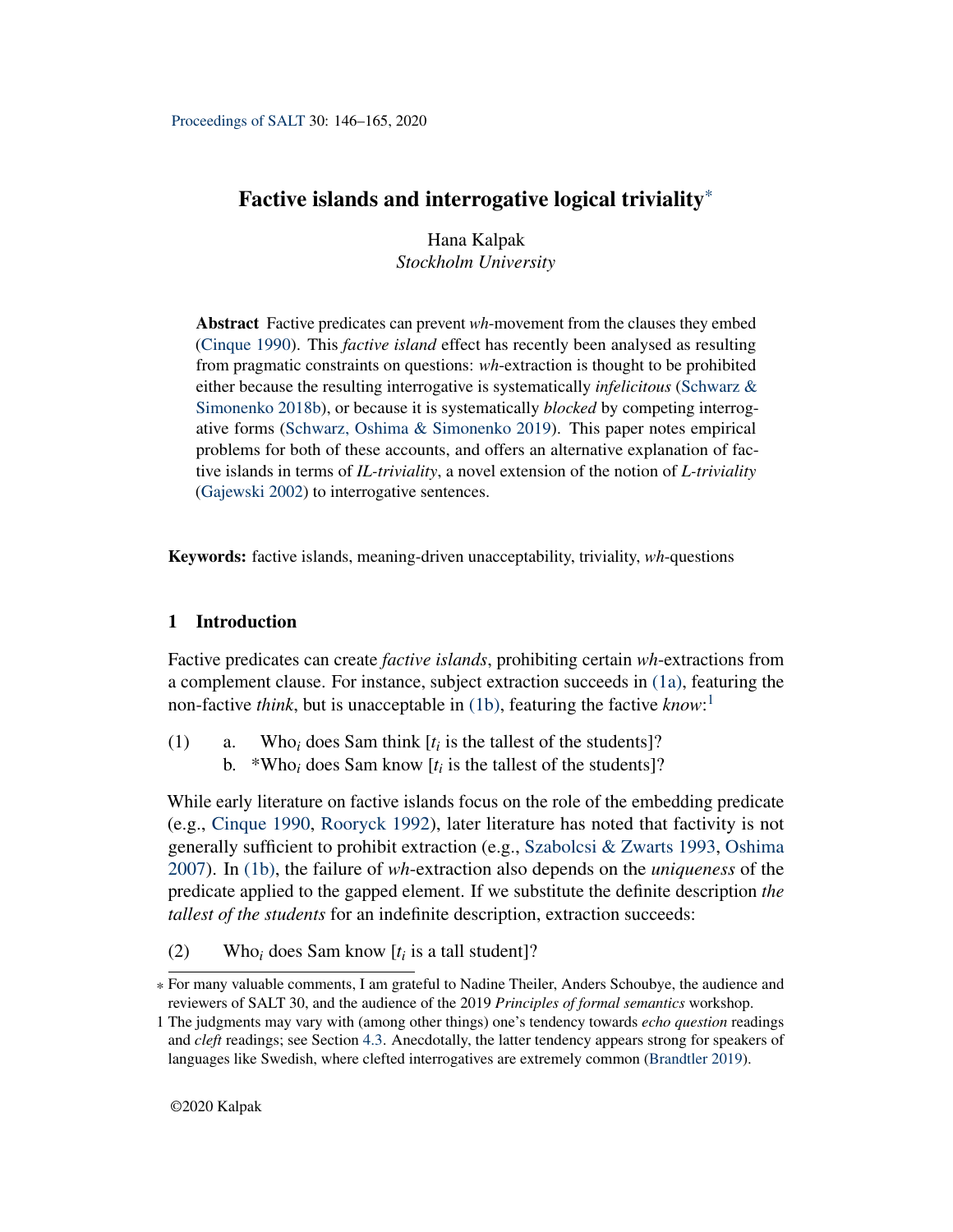# <span id="page-0-2"></span>Factive islands and interrogative logical triviality\*

Hana Kalpak *Stockholm University*

Abstract Factive predicates can prevent *wh*-movement from the clauses they embed [\(Cinque](#page-18-0) [1990\)](#page-18-0). This *factive island* effect has recently been analysed as resulting from pragmatic constraints on questions: *wh*-extraction is thought to be prohibited either because the resulting interrogative is systematically *infelicitous* [\(Schwarz &](#page-19-0) [Simonenko](#page-19-0) [2018b\)](#page-19-0), or because it is systematically *blocked* by competing interrogative forms [\(Schwarz, Oshima & Simonenko](#page-19-1) [2019\)](#page-19-1). This paper notes empirical problems for both of these accounts, and offers an alternative explanation of factive islands in terms of *IL-triviality*, a novel extension of the notion of *L-triviality* [\(Gajewski](#page-18-1) [2002\)](#page-18-1) to interrogative sentences.

Keywords: factive islands, meaning-driven unacceptability, triviality, *wh*-questions

# 1 Introduction

Factive predicates can create *factive islands*, prohibiting certain *wh*-extractions from a complement clause. For instance, subject extraction succeeds in [\(1a\),](#page-0-0) featuring the non-factive *think*, but is unacceptable in [\(1b\),](#page-0-1) featuring the factive *know*: 1

- <span id="page-0-1"></span><span id="page-0-0"></span>(1) a. Who<sub>i</sub> does Sam think  $[t_i]$  is the tallest of the students]?
	- b. \*Who<sub>i</sub> does Sam know  $[t_i]$  is the tallest of the students]?

While early literature on factive islands focus on the role of the embedding predicate (e.g., [Cinque](#page-18-0) [1990,](#page-18-0) [Rooryck](#page-19-2) [1992\)](#page-19-2), later literature has noted that factivity is not generally sufficient to prohibit extraction (e.g., [Szabolcsi & Zwarts](#page-19-3) [1993,](#page-19-3) [Oshima](#page-19-4) [2007\)](#page-19-4). In [\(1b\),](#page-0-1) the failure of *wh*-extraction also depends on the *uniqueness* of the predicate applied to the gapped element. If we substitute the definite description *the tallest of the students* for an indefinite description, extraction succeeds:

(2) Who<sub>*i*</sub> does Sam know  $[t_i]$  is a tall student]?

<sup>\*</sup> For many valuable comments, I am grateful to Nadine Theiler, Anders Schoubye, the audience and reviewers of SALT 30, and the audience of the 2019 *Principles of formal semantics* workshop.

<sup>1</sup> The judgments may vary with (among other things) one's tendency towards *echo question* readings and *cleft* readings; see Section [4.3.](#page-14-0) Anecdotally, the latter tendency appears strong for speakers of languages like Swedish, where clefted interrogatives are extremely common [\(Brandtler](#page-18-2) [2019\)](#page-18-2).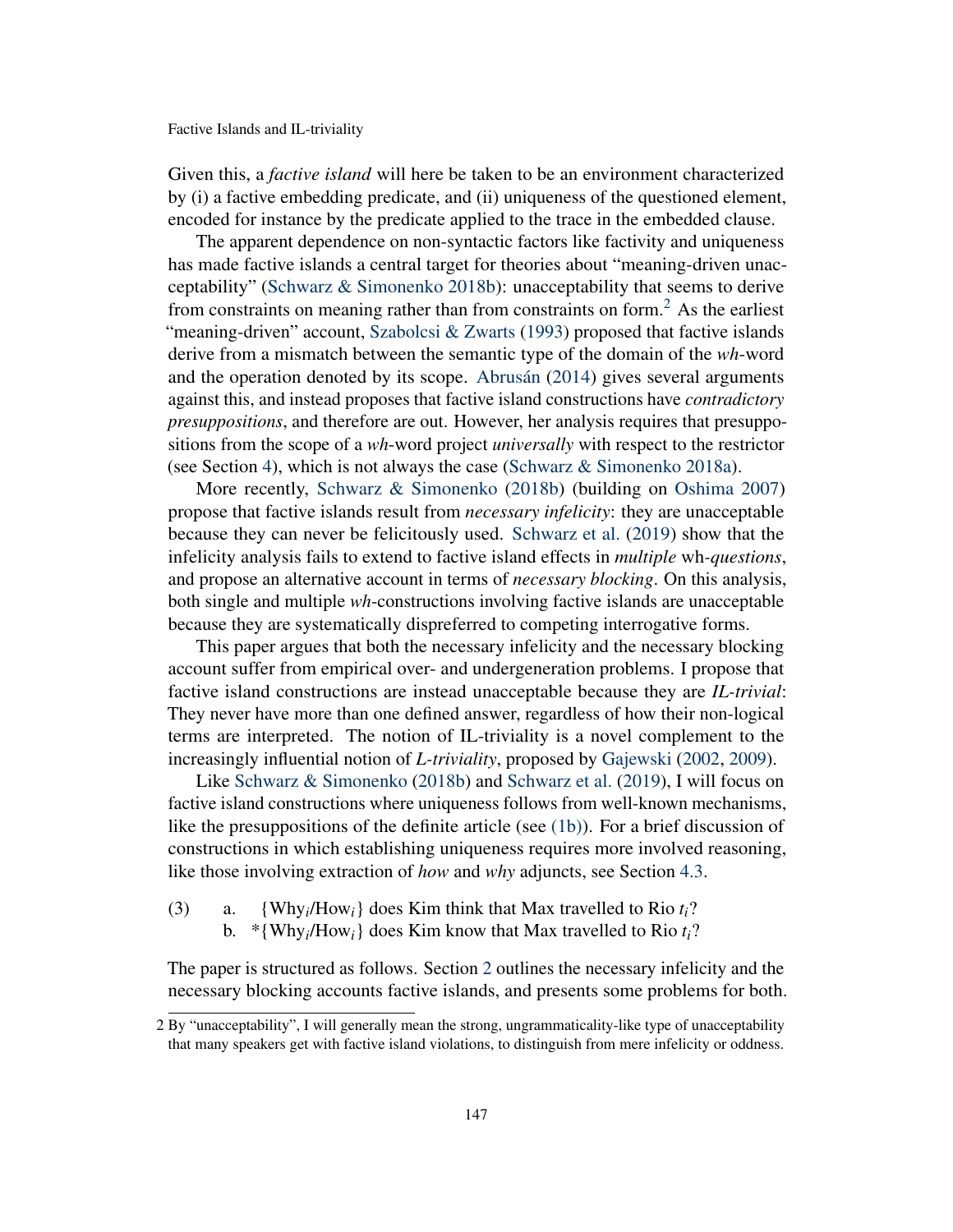Given this, a *factive island* will here be taken to be an environment characterized by (i) a factive embedding predicate, and (ii) uniqueness of the questioned element, encoded for instance by the predicate applied to the trace in the embedded clause.

The apparent dependence on non-syntactic factors like factivity and uniqueness has made factive islands a central target for theories about "meaning-driven unacceptability" [\(Schwarz & Simonenko](#page-19-0) [2018b\)](#page-19-0): unacceptability that seems to derive from constraints on meaning rather than from constraints on form.[2](#page-0-2) As the earliest "meaning-driven" account, [Szabolcsi & Zwarts](#page-19-3) [\(1993\)](#page-19-3) proposed that factive islands derive from a mismatch between the semantic type of the domain of the *wh*-word and the operation denoted by its scope. [Abrusán](#page-18-3) [\(2014\)](#page-18-3) gives several arguments against this, and instead proposes that factive island constructions have *contradictory presuppositions*, and therefore are out. However, her analysis requires that presuppositions from the scope of a *wh*-word project *universally* with respect to the restrictor (see Section [4\)](#page-10-0), which is not always the case [\(Schwarz & Simonenko](#page-19-5) [2018a\)](#page-19-5).

More recently, [Schwarz & Simonenko](#page-19-0) [\(2018b\)](#page-19-0) (building on [Oshima](#page-19-4) [2007\)](#page-19-4) propose that factive islands result from *necessary infelicity*: they are unacceptable because they can never be felicitously used. [Schwarz et al.](#page-19-1) [\(2019\)](#page-19-1) show that the infelicity analysis fails to extend to factive island effects in *multiple* wh*-questions*, and propose an alternative account in terms of *necessary blocking*. On this analysis, both single and multiple *wh*-constructions involving factive islands are unacceptable because they are systematically dispreferred to competing interrogative forms.

This paper argues that both the necessary infelicity and the necessary blocking account suffer from empirical over- and undergeneration problems. I propose that factive island constructions are instead unacceptable because they are *IL-trivial*: They never have more than one defined answer, regardless of how their non-logical terms are interpreted. The notion of IL-triviality is a novel complement to the increasingly influential notion of *L-triviality*, proposed by [Gajewski](#page-18-1) [\(2002,](#page-18-1) [2009\)](#page-18-4).

Like [Schwarz & Simonenko](#page-19-0) [\(2018b\)](#page-19-0) and [Schwarz et al.](#page-19-1) [\(2019\)](#page-19-1), I will focus on factive island constructions where uniqueness follows from well-known mechanisms, like the presuppositions of the definite article (see [\(1b\)\)](#page-0-1). For a brief discussion of constructions in which establishing uniqueness requires more involved reasoning, like those involving extraction of *how* and *why* adjuncts, see Section [4.3.](#page-14-0)

- (3) a.  $\{Why_i/How_i\}$  does Kim think that Max travelled to Rio  $t_i$ ?
	- b. \*{Why*<sup>i</sup>* /How*i*} does Kim know that Max travelled to Rio *ti*?

The paper is structured as follows. Section [2](#page-2-0) outlines the necessary infelicity and the necessary blocking accounts factive islands, and presents some problems for both.

<sup>2</sup> By "unacceptability", I will generally mean the strong, ungrammaticality-like type of unacceptability that many speakers get with factive island violations, to distinguish from mere infelicity or oddness.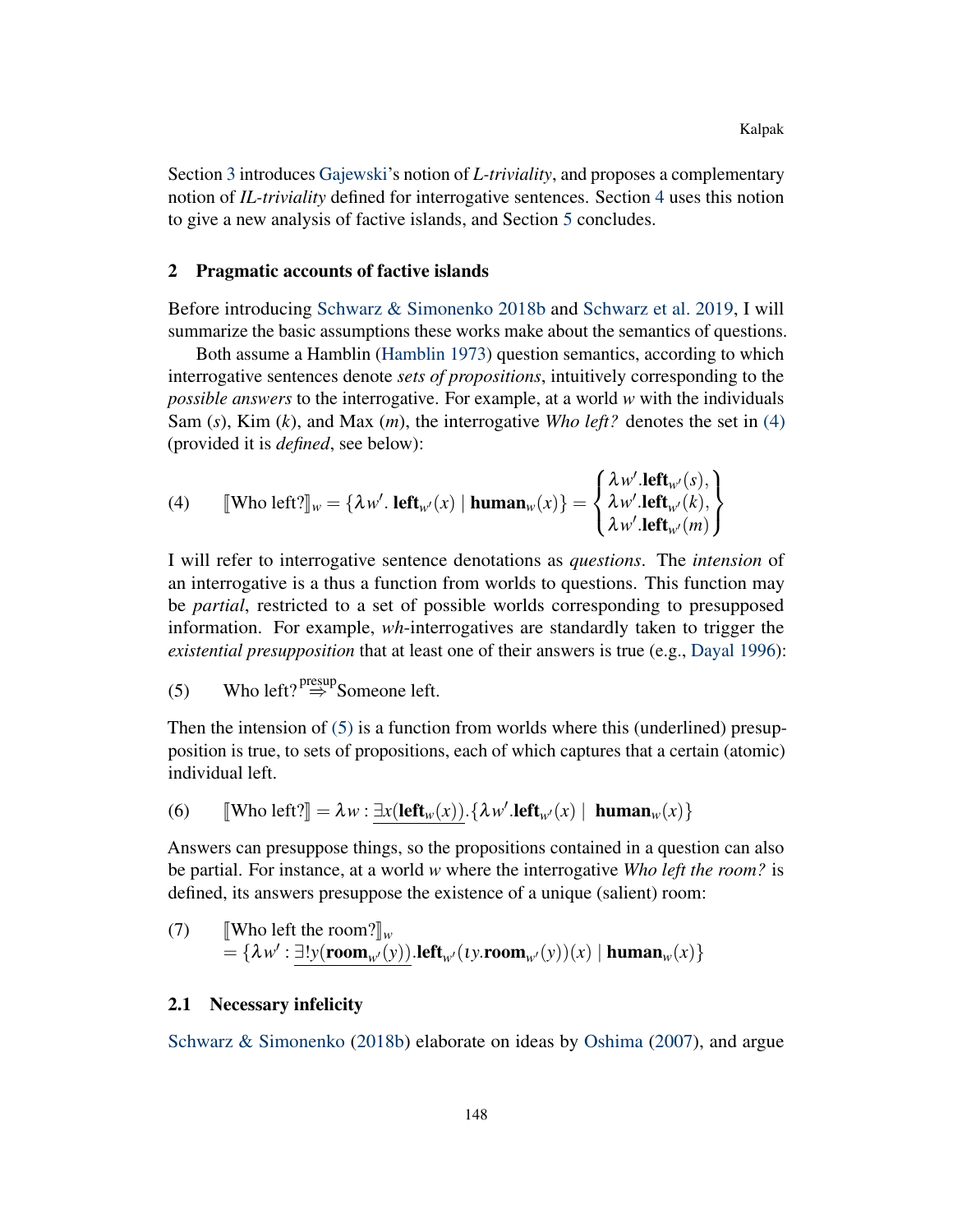Section [3](#page-7-0) introduces [Gajewski'](#page-18-4)s notion of *L-triviality*, and proposes a complementary notion of *IL-triviality* defined for interrogative sentences. Section [4](#page-10-0) uses this notion to give a new analysis of factive islands, and Section [5](#page-17-0) concludes.

#### <span id="page-2-0"></span>2 Pragmatic accounts of factive islands

Before introducing [Schwarz & Simonenko](#page-19-0) [2018b](#page-19-0) and [Schwarz et al.](#page-19-1) [2019,](#page-19-1) I will summarize the basic assumptions these works make about the semantics of questions.

Both assume a Hamblin [\(Hamblin](#page-18-5) [1973\)](#page-18-5) question semantics, according to which interrogative sentences denote *sets of propositions*, intuitively corresponding to the *possible answers* to the interrogative. For example, at a world *w* with the individuals Sam (*s*), Kim (*k*), and Max (*m*), the interrogative *Who left?* denotes the set in [\(4\)](#page-2-1) (provided it is *defined*, see below):

<span id="page-2-1"></span>(4) 
$$
\llbracket \text{Who left?} \rrbracket_w = \{ \lambda w'. \text{ left}_{w'}(x) \mid \text{human}_{w}(x) \} = \begin{cases} \lambda w'. \text{left}_{w'}(s), \\ \lambda w'. \text{left}_{w'}(k), \\ \lambda w'. \text{left}_{w'}(m) \end{cases} \}
$$

I will refer to interrogative sentence denotations as *questions*. The *intension* of an interrogative is a thus a function from worlds to questions. This function may be *partial*, restricted to a set of possible worlds corresponding to presupposed information. For example, *wh*-interrogatives are standardly taken to trigger the *existential presupposition* that at least one of their answers is true (e.g., [Dayal](#page-18-6) [1996\)](#page-18-6):

<span id="page-2-2"></span>(5) Who left? 
$$
\stackrel{\text{presup}}{\Rightarrow}
$$
 Someone left.

Then the intension of  $(5)$  is a function from worlds where this (underlined) presupposition is true, to sets of propositions, each of which captures that a certain (atomic) individual left.

(6) 
$$
[ \mathbf{Who } \mathbf{left} ] = \lambda w : \underline{\exists x (\mathbf{left}_{w}(x))} \cdot \{\lambda w'.\mathbf{left}_{w'}(x) \mid \mathbf{human}_{w}(x) \}
$$

Answers can presuppose things, so the propositions contained in a question can also be partial. For instance, at a world *w* where the interrogative *Who left the room?* is defined, its answers presuppose the existence of a unique (salient) room:

(7) [Who left the room?]<sub>w</sub>  
= {
$$
\lambda w' : \exists! y(\text{room}_{w'}(y))
$$
.left<sub>w'</sub>(*ty*.room<sub>w'</sub>(*y*))(*x*) | human<sub>w</sub>(*x*)}

## <span id="page-2-3"></span>2.1 Necessary infelicity

[Schwarz & Simonenko](#page-19-0) [\(2018b\)](#page-19-0) elaborate on ideas by [Oshima](#page-19-4) [\(2007\)](#page-19-4), and argue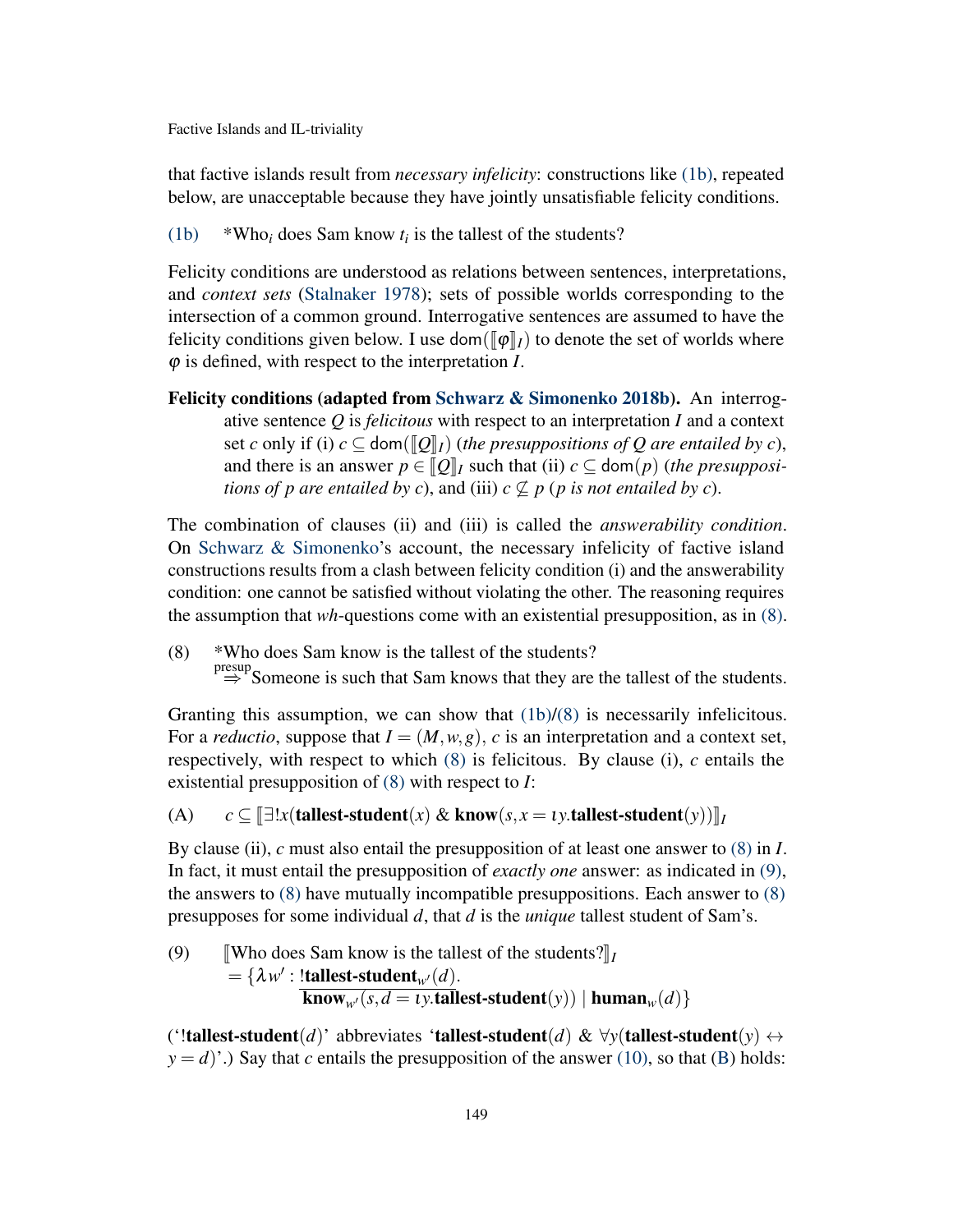that factive islands result from *necessary infelicity*: constructions like [\(1b\),](#page-0-1) repeated below, are unacceptable because they have jointly unsatisfiable felicity conditions.

[\(1b\)](#page-0-1)  $*Who_i$  does Sam know  $t_i$  is the tallest of the students?

Felicity conditions are understood as relations between sentences, interpretations, and *context sets* [\(Stalnaker](#page-19-6) [1978\)](#page-19-6); sets of possible worlds corresponding to the intersection of a common ground. Interrogative sentences are assumed to have the felicity conditions given below. I use dom( $\llbracket \phi \rrbracket_I$ ) to denote the set of worlds where ϕ is defined, with respect to the interpretation *I*.

Felicity conditions (adapted from [Schwarz & Simonenko](#page-19-0) [2018b\)](#page-19-0). An interrogative sentence *Q* is *felicitous* with respect to an interpretation *I* and a context set *c* only if (i)  $c \subseteq \text{dom}(\llbracket Q \rrbracket_I)$  (the presuppositions of Q are entailed by *c*), and there is an answer  $p \in [Q]_I$  such that (ii)  $c \subseteq \text{dom}(p)$  (*the presuppositions of p are entailed by c*), and (iii)  $c \nsubseteq p$  (*p is not entailed by c*).

The combination of clauses (ii) and (iii) is called the *answerability condition*. On [Schwarz & Simonenko'](#page-19-0)s account, the necessary infelicity of factive island constructions results from a clash between felicity condition (i) and the answerability condition: one cannot be satisfied without violating the other. The reasoning requires the assumption that *wh*-questions come with an existential presupposition, as in [\(8\).](#page-3-0)

<span id="page-3-0"></span>(8) \*Who does Sam know is the tallest of the students?  $\stackrel{\text{presup}}{\Rightarrow}$  Someone is such that Sam knows that they are the tallest of the students.

Granting this assumption, we can show that  $(1b)/(8)$  $(1b)/(8)$  is necessarily infelicitous. For a *reductio*, suppose that  $I = (M, w, g)$ , *c* is an interpretation and a context set, respectively, with respect to which [\(8\)](#page-3-0) is felicitous. By clause (i), *c* entails the existential presupposition of [\(8\)](#page-3-0) with respect to *I*:

<span id="page-3-3"></span>(A) 
$$
c \subseteq [\exists!x(\mathbf{tallest-student}(x) \& \mathbf{know}(s, x = \iota y.\mathbf{tallest-student}(y))]_I
$$

By clause (ii), *c* must also entail the presupposition of at least one answer to [\(8\)](#page-3-0) in *I*. In fact, it must entail the presupposition of *exactly one* answer: as indicated in [\(9\),](#page-3-1) the answers to  $(8)$  have mutually incompatible presuppositions. Each answer to  $(8)$ presupposes for some individual *d*, that *d* is the *unique* tallest student of Sam's.

<span id="page-3-1"></span>(9) Who does Sam know is the tallest of the students? $\mathbb{I}_I$  $= {\lambda w' : !tallest-student_{w'}(d)}.$  $\overline{\textbf{know}_{w'}(s, d = \nu \cdot \textbf{tallet-student}(y)) | \textbf{human}_{w}(d) }$ 

<span id="page-3-2"></span>('!tallest-student(*d*)' abbreviates 'tallest-student(*d*) &  $\forall y$ (tallest-student(*y*)  $\leftrightarrow$  $y = d$ )'.) Say that *c* entails the presupposition of the answer [\(10\),](#page-3-2) so that [\(B\)](#page-3-3) holds: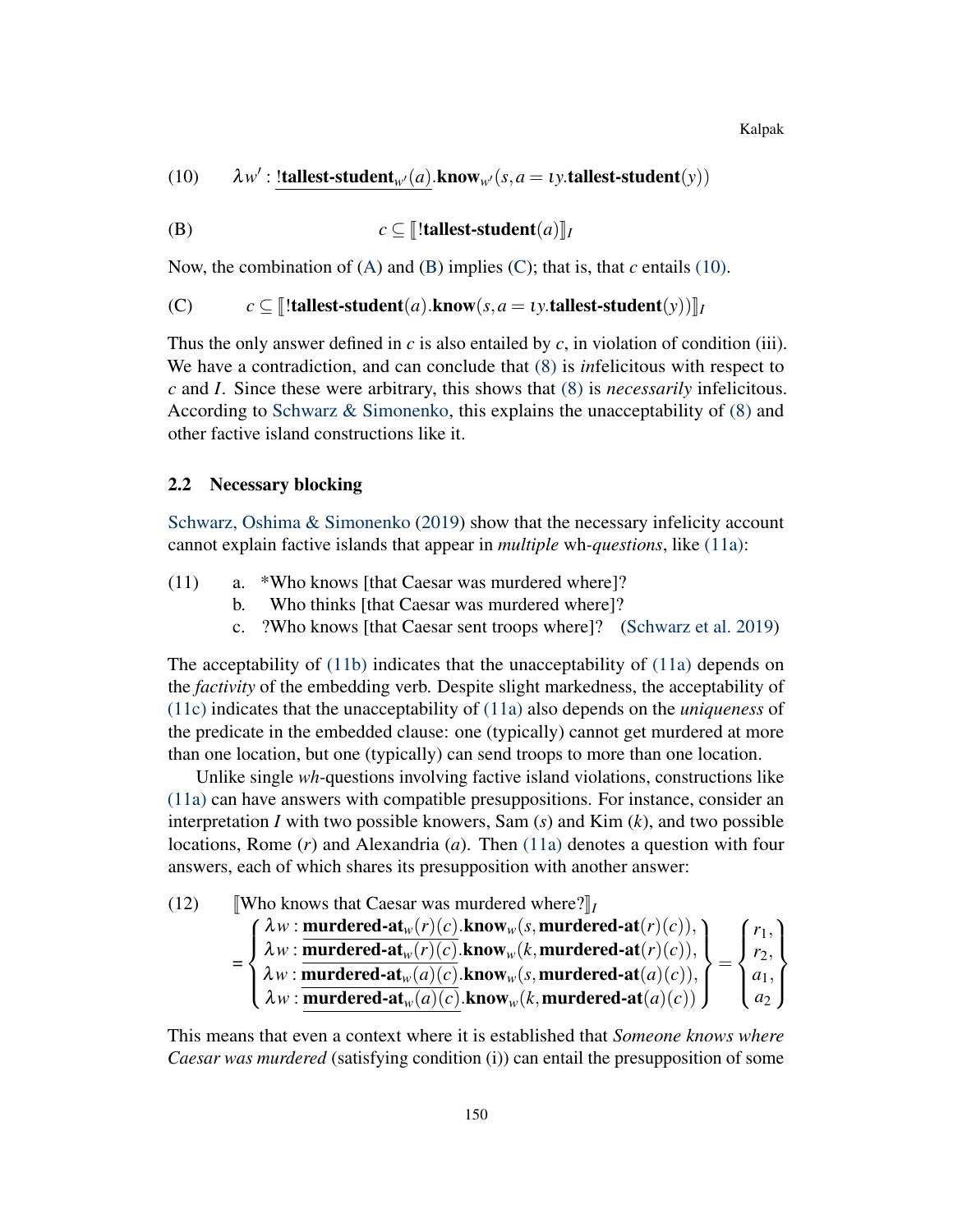Kalpak

(10)  $\lambda w'$ : !tallest-student<sub>*w*</sub> $(a)$ .know<sub>*w*</sub> $(s, a = \iota y$ .tallest-student(*y*))

(B) 
$$
c \subseteq [\text{!tallest-student}(a)]_I
$$

Now, the combination of  $(A)$  and  $(B)$  implies  $(C)$ ; that is, that *c* entails [\(10\).](#page-3-2)

(C)  $c \subseteq \llbracket !$  tallest-student(*a*).know(*s*, *a* = *ty*.tallest-student(*y*)) $\llbracket I$ 

Thus the only answer defined in *c* is also entailed by *c*, in violation of condition (iii). We have a contradiction, and can conclude that [\(8\)](#page-3-0) is *in*felicitous with respect to *c* and *I*. Since these were arbitrary, this shows that [\(8\)](#page-3-0) is *necessarily* infelicitous. According to [Schwarz & Simonenko,](#page-19-0) this explains the unacceptability of [\(8\)](#page-3-0) and other factive island constructions like it.

#### 2.2 Necessary blocking

[Schwarz, Oshima & Simonenko](#page-19-1) [\(2019\)](#page-19-1) show that the necessary infelicity account cannot explain factive islands that appear in *multiple* wh*-questions*, like [\(11a\):](#page-4-0)

- <span id="page-4-2"></span><span id="page-4-1"></span><span id="page-4-0"></span>(11) a. \*Who knows [that Caesar was murdered where]?
	- b. Who thinks [that Caesar was murdered where]?
	- c. ?Who knows [that Caesar sent troops where]? [\(Schwarz et al.](#page-19-1) [2019\)](#page-19-1)

The acceptability of [\(11b\)](#page-4-1) indicates that the unacceptability of [\(11a\)](#page-4-0) depends on the *factivity* of the embedding verb. Despite slight markedness, the acceptability of [\(11c\)](#page-4-2) indicates that the unacceptability of [\(11a\)](#page-4-0) also depends on the *uniqueness* of the predicate in the embedded clause: one (typically) cannot get murdered at more than one location, but one (typically) can send troops to more than one location.

Unlike single *wh*-questions involving factive island violations, constructions like [\(11a\)](#page-4-0) can have answers with compatible presuppositions. For instance, consider an interpretation *I* with two possible knowers, Sam (*s*) and Kim (*k*), and two possible locations, Rome (*r*) and Alexandria (*a*). Then [\(11a\)](#page-4-0) denotes a question with four answers, each of which shares its presupposition with another answer:

<span id="page-4-3"></span>(12) **Who knows that Caesar was murdered where?** $\mathbb{I}_I$ 

$$
= \begin{cases} \lambda w : \underline{\text{mundred-at}_w(r)(c).\text{know}_w(s, \text{mundred-at}(r)(c))}, \\ \lambda w : \underline{\text{mundred-at}_w(r)(c).\text{know}_w(k, \text{mundred-at}(r)(c)),} \\ \lambda w : \underline{\text{mundred-at}_w(a)(c).\text{know}_w(s, \text{mundred-at}(a)(c))}, \\ \lambda w : \underline{\text{mundred-at}_w(a)(c).\text{know}_w(k, \text{mundred-at}(a)(c))} \end{cases} = \begin{cases} r_1, \\ r_2, \\ a_1, \\ a_2 \end{cases}
$$

This means that even a context where it is established that *Someone knows where Caesar was murdered* (satisfying condition (i)) can entail the presupposition of some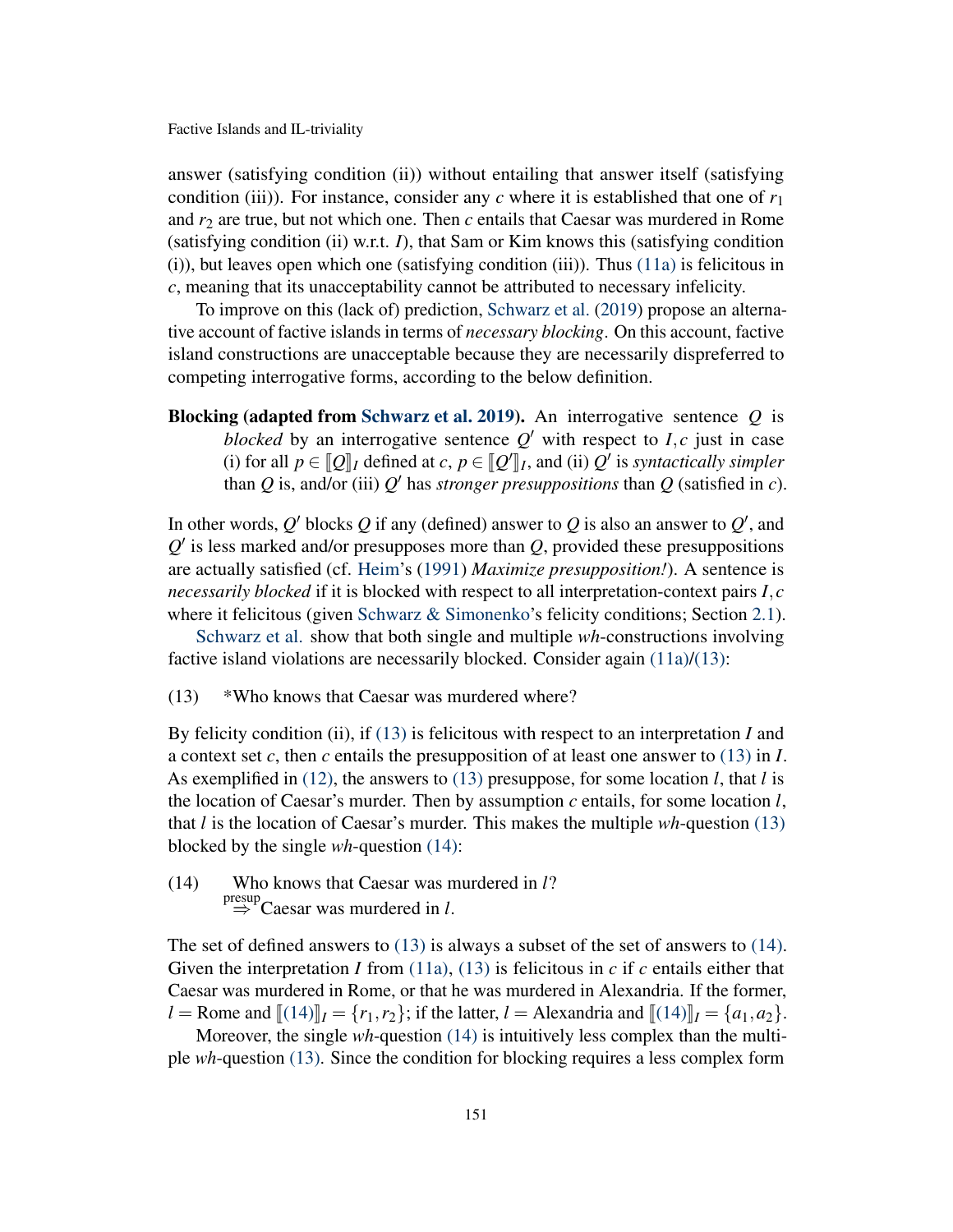answer (satisfying condition (ii)) without entailing that answer itself (satisfying condition (iii)). For instance, consider any  $c$  where it is established that one of  $r_1$ and  $r_2$  are true, but not which one. Then  $c$  entails that Caesar was murdered in Rome (satisfying condition (ii) w.r.t. *I*), that Sam or Kim knows this (satisfying condition (i)), but leaves open which one (satisfying condition (iii)). Thus [\(11a\)](#page-4-0) is felicitous in *c*, meaning that its unacceptability cannot be attributed to necessary infelicity.

To improve on this (lack of) prediction, [Schwarz et al.](#page-19-1) [\(2019\)](#page-19-1) propose an alternative account of factive islands in terms of *necessary blocking*. On this account, factive island constructions are unacceptable because they are necessarily dispreferred to competing interrogative forms, according to the below definition.

Blocking (adapted from [Schwarz et al.](#page-19-1) [2019\)](#page-19-1). An interrogative sentence *Q* is *blocked* by an interrogative sentence  $Q'$  with respect to *I*, *c* just in case (i) for all  $p \in [Q]_I$  defined at  $c, p \in [Q']_I$ , and (ii)  $Q'$  is *syntactically simpler*<br>than *Q* is and/or (iii)  $Q'$  has stronger presuppositions than *Q* (satisfied in *c*) (1) for all  $p \in \llbracket Q \rrbracket_I$  defined at  $c, p \in \llbracket Q \rrbracket_I$ , and (ii)  $Q$  is *syntactically simpler* than  $Q$  is, and/or (iii)  $Q'$  has *stronger presuppositions* than  $Q$  (satisfied in  $c$ ).

In other words,  $Q'$  blocks  $Q$  if any (defined) answer to  $Q$  is also an answer to  $Q'$ , and  $Q'$  is less marked and/or presupposes more than  $Q$ , provided these presuppositions are actually satisfied (cf. [Heim'](#page-18-7)s [\(1991\)](#page-18-7) *Maximize presupposition!*). A sentence is *necessarily blocked* if it is blocked with respect to all interpretation-context pairs *I*, *c* where it felicitous (given Schwarz  $\&$  Simonenko's felicity conditions; Section [2.1\)](#page-2-3).

[Schwarz et al.](#page-19-1) show that both single and multiple *wh*-constructions involving factive island violations are necessarily blocked. Consider again [\(11a\)](#page-4-0)[/\(13\):](#page-5-0)

<span id="page-5-0"></span>(13) \*Who knows that Caesar was murdered where?

By felicity condition (ii), if [\(13\)](#page-5-0) is felicitous with respect to an interpretation *I* and a context set *c*, then *c* entails the presupposition of at least one answer to [\(13\)](#page-5-0) in *I*. As exemplified in [\(12\),](#page-4-3) the answers to [\(13\)](#page-5-0) presuppose, for some location *l*, that *l* is the location of Caesar's murder. Then by assumption *c* entails, for some location *l*, that *l* is the location of Caesar's murder. This makes the multiple *wh*-question [\(13\)](#page-5-0) blocked by the single *wh*-question [\(14\):](#page-5-1)

<span id="page-5-1"></span>(14) Who knows that Caesar was murdered in *l*?  $\stackrel{\text{presup}}{\Rightarrow}$  Caesar was murdered in *l*.

The set of defined answers to [\(13\)](#page-5-0) is always a subset of the set of answers to [\(14\).](#page-5-1) Given the interpretation *I* from [\(11a\),](#page-4-0) [\(13\)](#page-5-0) is felicitous in  $c$  if  $c$  entails either that Caesar was murdered in Rome, or that he was murdered in Alexandria. If the former, *l* = Rome and  $[(14)]_I = \{r_1, r_2\}$  $[(14)]_I = \{r_1, r_2\}$  $[(14)]_I = \{r_1, r_2\}$ ; if the latter, *l* = Alexandria and  $[(14)]_I = \{a_1, a_2\}$ .

Moreover, the single *wh*-question [\(14\)](#page-5-1) is intuitively less complex than the multiple *wh*-question [\(13\).](#page-5-0) Since the condition for blocking requires a less complex form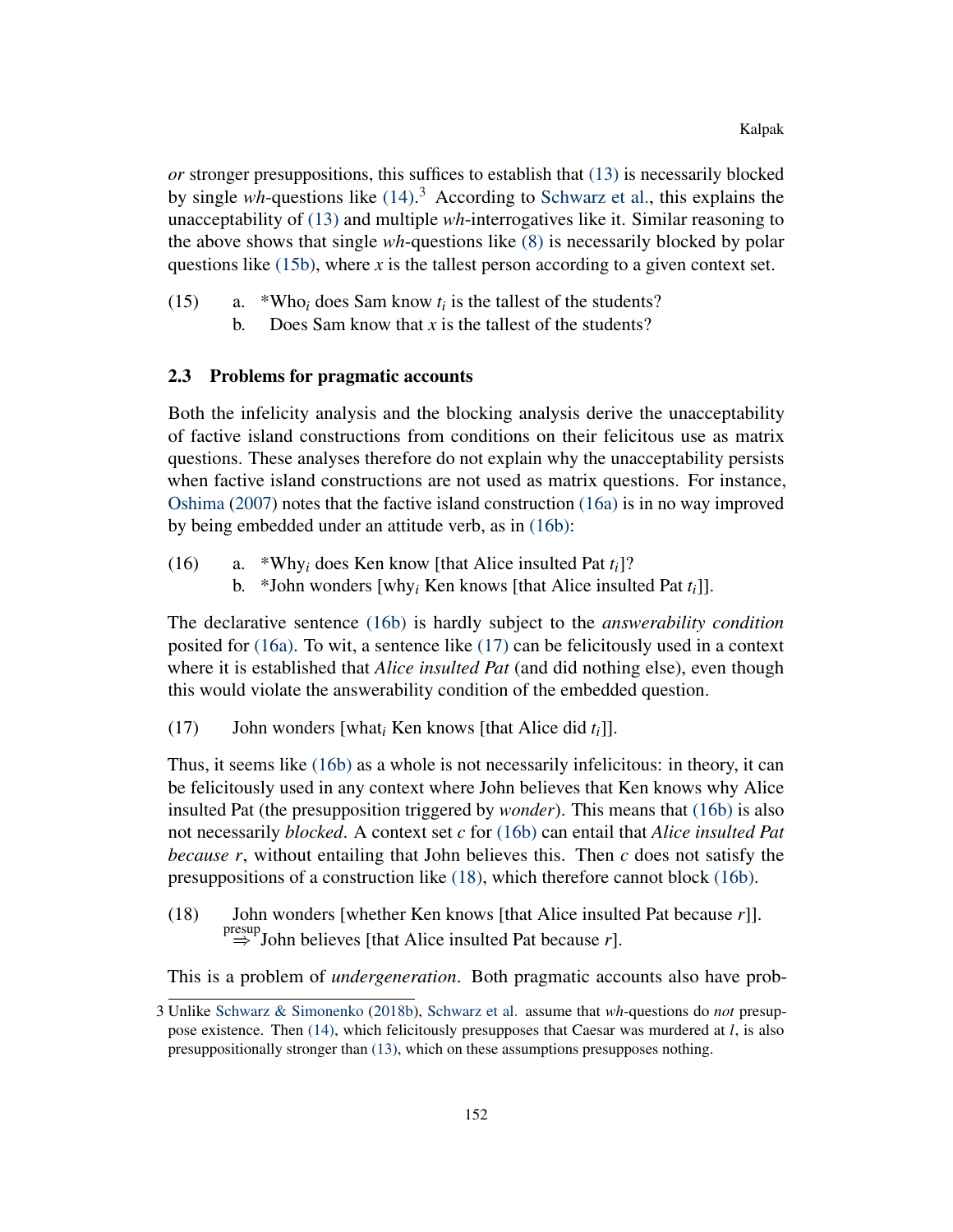*or* stronger presuppositions, this suffices to establish that [\(13\)](#page-5-0) is necessarily blocked by single *wh*-questions like [\(14\).](#page-5-1) [3](#page-0-2) According to [Schwarz et al.,](#page-19-1) this explains the unacceptability of [\(13\)](#page-5-0) and multiple *wh*-interrogatives like it. Similar reasoning to the above shows that single *wh*-questions like [\(8\)](#page-3-0) is necessarily blocked by polar questions like  $(15b)$ , where *x* is the tallest person according to a given context set.

- <span id="page-6-0"></span>(15) a. \*Who<sub>i</sub> does Sam know  $t_i$  is the tallest of the students?
	- b. Does Sam know that *x* is the tallest of the students?

## 2.3 Problems for pragmatic accounts

Both the infelicity analysis and the blocking analysis derive the unacceptability of factive island constructions from conditions on their felicitous use as matrix questions. These analyses therefore do not explain why the unacceptability persists when factive island constructions are not used as matrix questions. For instance, [Oshima](#page-19-4) [\(2007\)](#page-19-4) notes that the factive island construction [\(16a\)](#page-6-1) is in no way improved by being embedded under an attitude verb, as in [\(16b\):](#page-6-2)

- <span id="page-6-2"></span><span id="page-6-1"></span>(16) a. \*Why<sub>i</sub> does Ken know [that Alice insulted Pat  $t_i$ ]?
	- b. \*John wonders [why*<sup>i</sup>* Ken knows [that Alice insulted Pat *ti*]].

The declarative sentence [\(16b\)](#page-6-2) is hardly subject to the *answerability condition* posited for [\(16a\).](#page-6-1) To wit, a sentence like [\(17\)](#page-6-3) can be felicitously used in a context where it is established that *Alice insulted Pat* (and did nothing else), even though this would violate the answerability condition of the embedded question.

<span id="page-6-3"></span>(17) John wonders [what*<sup>i</sup>* Ken knows [that Alice did *ti*]].

Thus, it seems like [\(16b\)](#page-6-2) as a whole is not necessarily infelicitous: in theory, it can be felicitously used in any context where John believes that Ken knows why Alice insulted Pat (the presupposition triggered by *wonder*). This means that [\(16b\)](#page-6-2) is also not necessarily *blocked*. A context set *c* for [\(16b\)](#page-6-2) can entail that *Alice insulted Pat because r*, without entailing that John believes this. Then *c* does not satisfy the presuppositions of a construction like [\(18\),](#page-6-4) which therefore cannot block [\(16b\).](#page-6-2)

<span id="page-6-4"></span>(18) John wonders [whether Ken knows [that Alice insulted Pat because *r*]].  $\Rightarrow^{\text{presup}}$  John believes [that Alice insulted Pat because *r*].

This is a problem of *undergeneration*. Both pragmatic accounts also have prob-

<sup>3</sup> Unlike [Schwarz & Simonenko](#page-19-0) [\(2018b\)](#page-19-0), [Schwarz et al.](#page-19-1) assume that *wh*-questions do *not* presuppose existence. Then [\(14\),](#page-5-1) which felicitously presupposes that Caesar was murdered at *l*, is also presuppositionally stronger than [\(13\),](#page-5-0) which on these assumptions presupposes nothing.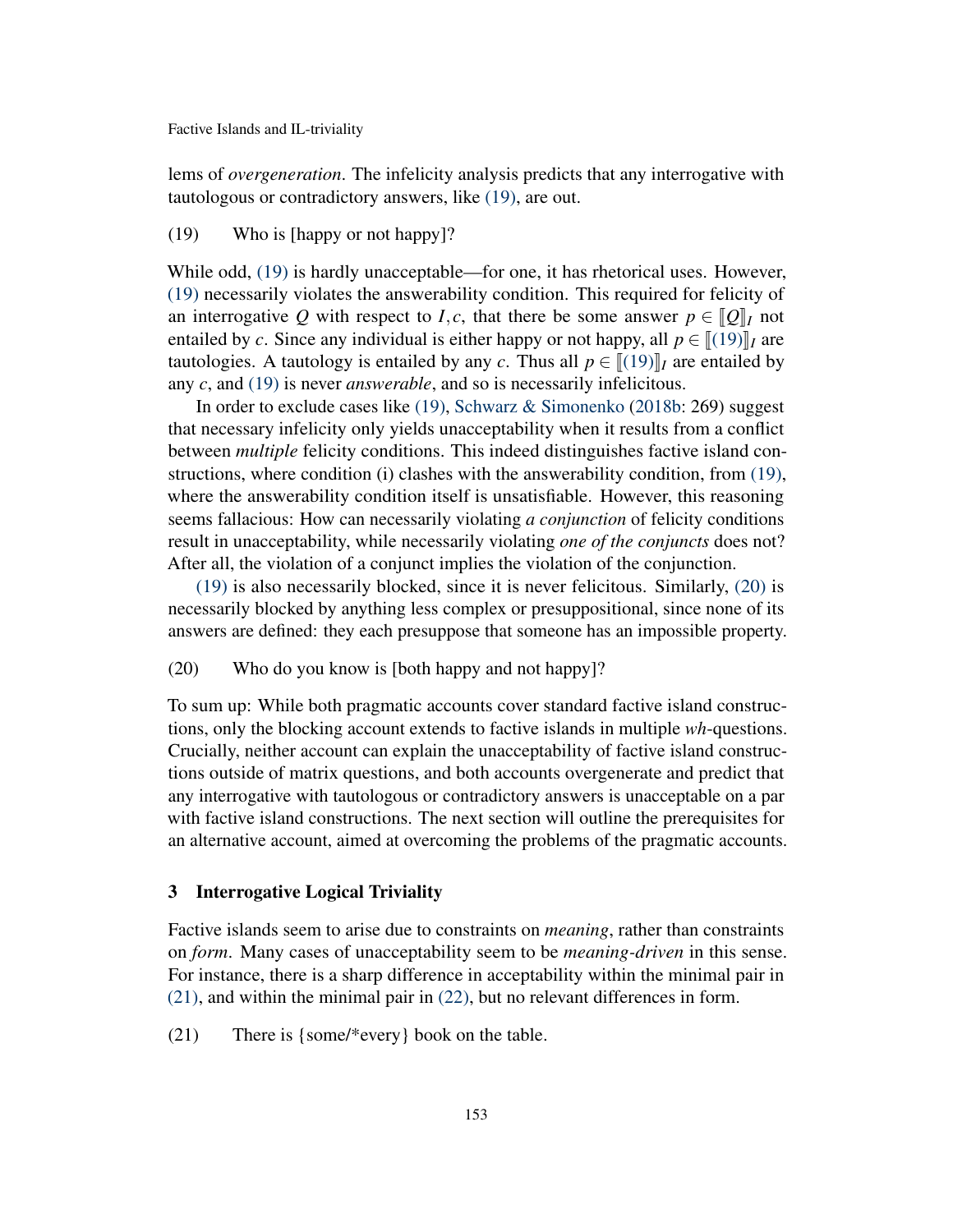lems of *overgeneration*. The infelicity analysis predicts that any interrogative with tautologous or contradictory answers, like [\(19\),](#page-7-1) are out.

## <span id="page-7-1"></span>(19) Who is [happy or not happy]?

While odd, [\(19\)](#page-7-1) is hardly unacceptable—for one, it has rhetorical uses. However, [\(19\)](#page-7-1) necessarily violates the answerability condition. This required for felicity of an interrogative Q with respect to I, c, that there be some answer  $p \in [Q]$ <sub>I</sub> not entailed by *c*. Since any individual is either happy or not happy, all  $p \in [(19)]$  $p \in [(19)]$  $p \in [(19)]$ *I* are tautologies. A tautology is entailed by any *c*. Thus all  $p \in [(19)]$  $p \in [(19)]$  $p \in [(19)]$ *I* are entailed by any *c*, and [\(19\)](#page-7-1) is never *answerable*, and so is necessarily infelicitous.

In order to exclude cases like [\(19\),](#page-7-1) [Schwarz & Simonenko](#page-19-0) [\(2018b:](#page-19-0) 269) suggest that necessary infelicity only yields unacceptability when it results from a conflict between *multiple* felicity conditions. This indeed distinguishes factive island constructions, where condition (i) clashes with the answerability condition, from [\(19\),](#page-7-1) where the answerability condition itself is unsatisfiable. However, this reasoning seems fallacious: How can necessarily violating *a conjunction* of felicity conditions result in unacceptability, while necessarily violating *one of the conjuncts* does not? After all, the violation of a conjunct implies the violation of the conjunction.

[\(19\)](#page-7-1) is also necessarily blocked, since it is never felicitous. Similarly, [\(20\)](#page-7-2) is necessarily blocked by anything less complex or presuppositional, since none of its answers are defined: they each presuppose that someone has an impossible property.

<span id="page-7-2"></span>(20) Who do you know is [both happy and not happy]?

To sum up: While both pragmatic accounts cover standard factive island constructions, only the blocking account extends to factive islands in multiple *wh*-questions. Crucially, neither account can explain the unacceptability of factive island constructions outside of matrix questions, and both accounts overgenerate and predict that any interrogative with tautologous or contradictory answers is unacceptable on a par with factive island constructions. The next section will outline the prerequisites for an alternative account, aimed at overcoming the problems of the pragmatic accounts.

## <span id="page-7-0"></span>3 Interrogative Logical Triviality

Factive islands seem to arise due to constraints on *meaning*, rather than constraints on *form*. Many cases of unacceptability seem to be *meaning-driven* in this sense. For instance, there is a sharp difference in acceptability within the minimal pair in [\(21\),](#page-7-3) and within the minimal pair in [\(22\),](#page-7-4) but no relevant differences in form.

<span id="page-7-4"></span><span id="page-7-3"></span>(21) There is {some/\*every} book on the table.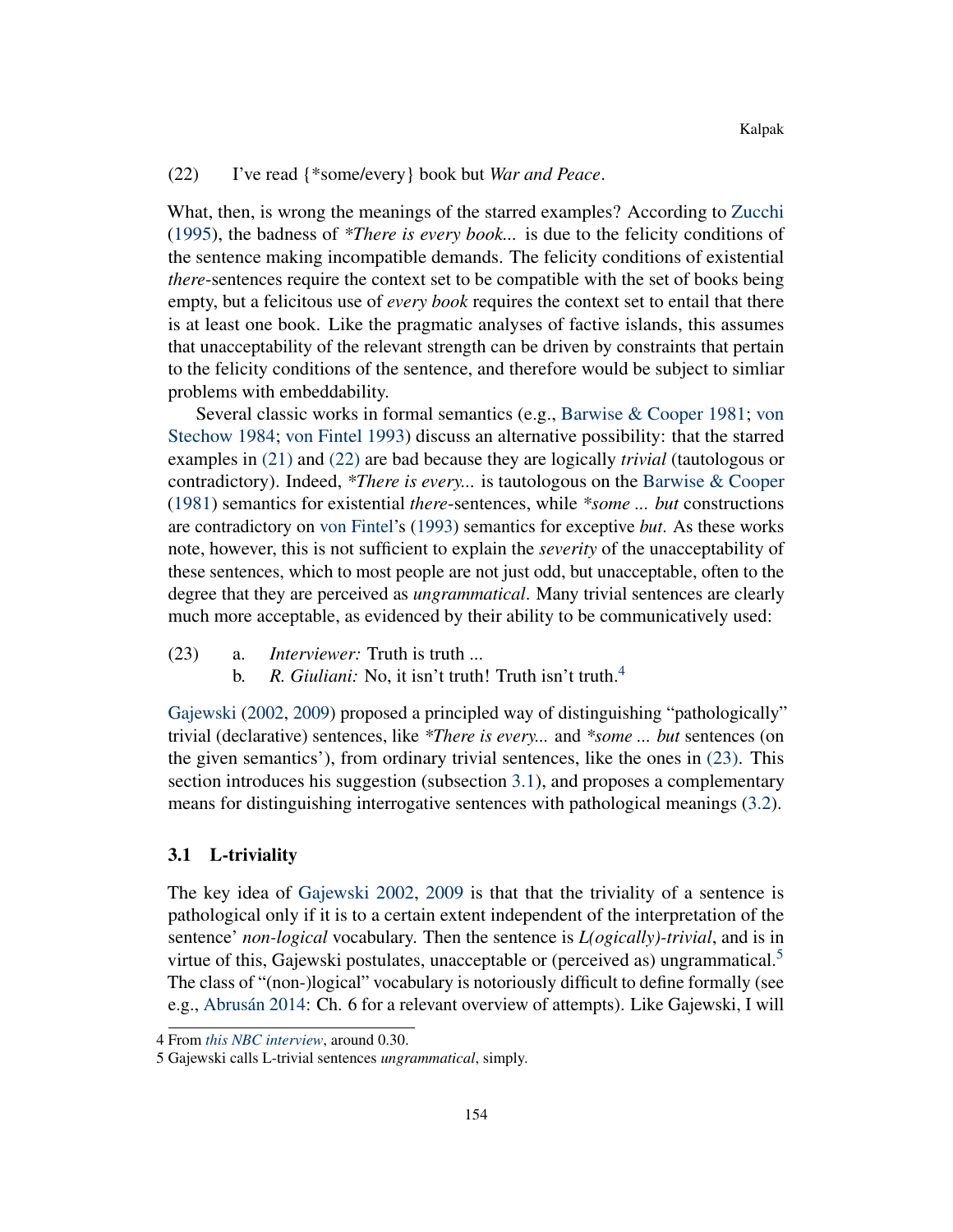## (22) I've read {\*some/every} book but *War and Peace*.

What, then, is wrong the meanings of the starred examples? According to [Zucchi](#page-19-7) [\(1995\)](#page-19-7), the badness of *\*There is every book...* is due to the felicity conditions of the sentence making incompatible demands. The felicity conditions of existential *there*-sentences require the context set to be compatible with the set of books being empty, but a felicitous use of *every book* requires the context set to entail that there is at least one book. Like the pragmatic analyses of factive islands, this assumes that unacceptability of the relevant strength can be driven by constraints that pertain to the felicity conditions of the sentence, and therefore would be subject to simliar problems with embeddability.

Several classic works in formal semantics (e.g., [Barwise & Cooper](#page-18-8) [1981;](#page-18-8) [von](#page-19-8) [Stechow](#page-19-8) [1984;](#page-19-8) [von Fintel](#page-18-9) [1993\)](#page-18-9) discuss an alternative possibility: that the starred examples in [\(21\)](#page-7-3) and [\(22\)](#page-7-4) are bad because they are logically *trivial* (tautologous or contradictory). Indeed, *\*There is every...* is tautologous on the [Barwise & Cooper](#page-18-8) [\(1981\)](#page-18-8) semantics for existential *there*-sentences, while *\*some ... but* constructions are contradictory on [von Fintel'](#page-18-9)s [\(1993\)](#page-18-9) semantics for exceptive *but*. As these works note, however, this is not sufficient to explain the *severity* of the unacceptability of these sentences, which to most people are not just odd, but unacceptable, often to the degree that they are perceived as *ungrammatical*. Many trivial sentences are clearly much more acceptable, as evidenced by their ability to be communicatively used:

- <span id="page-8-0"></span>(23) a. *Interviewer:* Truth is truth ...
	- b. *R. Giuliani:* No, it isn't truth! Truth isn't truth.<sup>[4](#page-0-2)</sup>

[Gajewski](#page-18-1) [\(2002,](#page-18-1) [2009\)](#page-18-4) proposed a principled way of distinguishing "pathologically" trivial (declarative) sentences, like *\*There is every...* and *\*some ... but* sentences (on the given semantics'), from ordinary trivial sentences, like the ones in [\(23\).](#page-8-0) This section introduces his suggestion (subsection [3.1\)](#page-8-1), and proposes a complementary means for distinguishing interrogative sentences with pathological meanings [\(3.2\)](#page-9-0).

#### <span id="page-8-1"></span>3.1 L-triviality

The key idea of [Gajewski](#page-18-1) [2002,](#page-18-1) [2009](#page-18-4) is that that the triviality of a sentence is pathological only if it is to a certain extent independent of the interpretation of the sentence' *non-logical* vocabulary. Then the sentence is *L(ogically)-trivial*, and is in virtue of this, Gajewski postulates, unacceptable or (perceived as) ungrammatical.<sup>[5](#page-0-2)</sup> The class of "(non-)logical" vocabulary is notoriously difficult to define formally (see e.g., [Abrusán](#page-18-3) [2014:](#page-18-3) Ch. 6 for a relevant overview of attempts). Like Gajewski, I will

<sup>4</sup> From *[this NBC interview](https://www.youtube.com/watch?v=CljsZ7lgbtw)*, around 0.30.

<sup>5</sup> Gajewski calls L-trivial sentences *ungrammatical*, simply.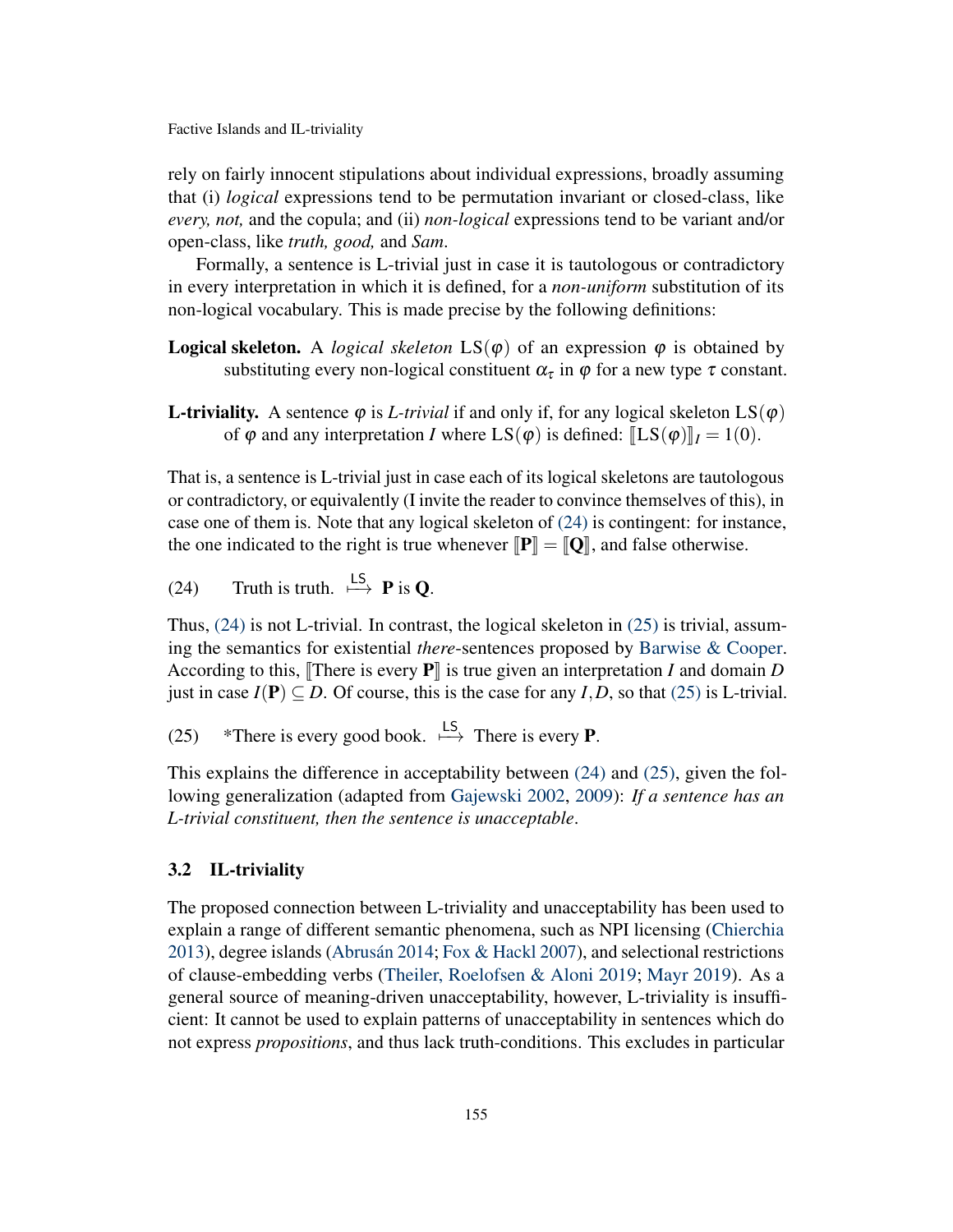rely on fairly innocent stipulations about individual expressions, broadly assuming that (i) *logical* expressions tend to be permutation invariant or closed-class, like *every, not,* and the copula; and (ii) *non-logical* expressions tend to be variant and/or open-class, like *truth, good,* and *Sam*.

Formally, a sentence is L-trivial just in case it is tautologous or contradictory in every interpretation in which it is defined, for a *non-uniform* substitution of its non-logical vocabulary. This is made precise by the following definitions:

- **Logical skeleton.** A *logical skeleton*  $LS(\varphi)$  of an expression  $\varphi$  is obtained by substituting every non-logical constituent  $\alpha_{\tau}$  in  $\varphi$  for a new type  $\tau$  constant.
- **L-triviality.** A sentence  $\varphi$  is *L-trivial* if and only if, for any logical skeleton  $LS(\varphi)$ of  $\varphi$  and any interpretation *I* where  $LS(\varphi)$  is defined:  $[LS(\varphi)]_I = 1(0)$ .

That is, a sentence is L-trivial just in case each of its logical skeletons are tautologous or contradictory, or equivalently (I invite the reader to convince themselves of this), in case one of them is. Note that any logical skeleton of [\(24\)](#page-9-1) is contingent: for instance, the one indicated to the right is true whenever  $\llbracket P \rrbracket = \llbracket Q \rrbracket$ , and false otherwise.

<span id="page-9-1"></span>(24) Truth is truth. 
$$
\xrightarrow{\text{LS}}
$$
 **P** is **Q**.

Thus, [\(24\)](#page-9-1) is not L-trivial. In contrast, the logical skeleton in [\(25\)](#page-9-2) is trivial, assuming the semantics for existential *there*-sentences proposed by [Barwise & Cooper.](#page-18-8) According to this, There is every  $P\|$  is true given an interpretation *I* and domain *D* just in case  $I(P) \subseteq D$ . Of course, this is the case for any *I*, *D*, so that [\(25\)](#page-9-2) is L-trivial.

<span id="page-9-2"></span>(25) \*There is every good book.  $\stackrel{\text{LS}}{\longmapsto}$  There is every **P**.

This explains the difference in acceptability between [\(24\)](#page-9-1) and [\(25\),](#page-9-2) given the following generalization (adapted from [Gajewski](#page-18-1) [2002,](#page-18-1) [2009\)](#page-18-4): *If a sentence has an L-trivial constituent, then the sentence is unacceptable*.

## <span id="page-9-0"></span>3.2 IL-triviality

The proposed connection between L-triviality and unacceptability has been used to explain a range of different semantic phenomena, such as NPI licensing [\(Chierchia](#page-18-10) [2013\)](#page-18-10), degree islands [\(Abrusán](#page-18-3) [2014;](#page-18-3) [Fox & Hackl](#page-18-11) [2007\)](#page-18-11), and selectional restrictions of clause-embedding verbs [\(Theiler, Roelofsen & Aloni](#page-19-9) [2019;](#page-19-9) [Mayr](#page-18-12) [2019\)](#page-18-12). As a general source of meaning-driven unacceptability, however, L-triviality is insufficient: It cannot be used to explain patterns of unacceptability in sentences which do not express *propositions*, and thus lack truth-conditions. This excludes in particular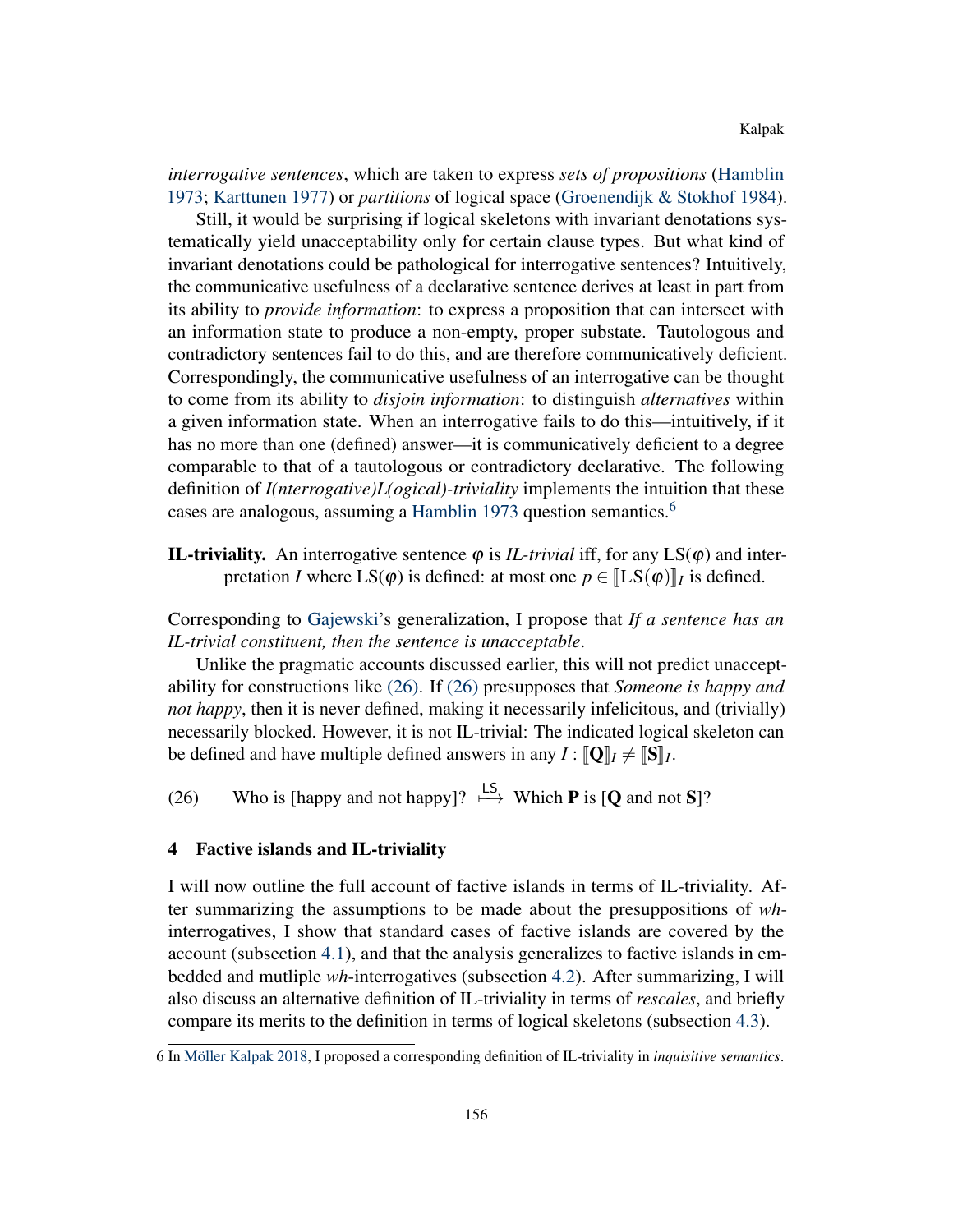*interrogative sentences*, which are taken to express *sets of propositions* [\(Hamblin](#page-18-5) [1973;](#page-18-5) [Karttunen](#page-18-13) [1977\)](#page-18-13) or *partitions* of logical space [\(Groenendijk & Stokhof](#page-18-14) [1984\)](#page-18-14).

Still, it would be surprising if logical skeletons with invariant denotations systematically yield unacceptability only for certain clause types. But what kind of invariant denotations could be pathological for interrogative sentences? Intuitively, the communicative usefulness of a declarative sentence derives at least in part from its ability to *provide information*: to express a proposition that can intersect with an information state to produce a non-empty, proper substate. Tautologous and contradictory sentences fail to do this, and are therefore communicatively deficient. Correspondingly, the communicative usefulness of an interrogative can be thought to come from its ability to *disjoin information*: to distinguish *alternatives* within a given information state. When an interrogative fails to do this—intuitively, if it has no more than one (defined) answer—it is communicatively deficient to a degree comparable to that of a tautologous or contradictory declarative. The following definition of *I(nterrogative)L(ogical)-triviality* implements the intuition that these cases are analogous, assuming a [Hamblin](#page-18-5) [1973](#page-18-5) question semantics.<sup>[6](#page-0-2)</sup>

**IL-triviality.** An interrogative sentence  $\varphi$  is *IL-trivial* iff, for any  $LS(\varphi)$  and interpretation *I* where  $LS(\varphi)$  is defined: at most one  $p \in [LS(\varphi)]_I$  is defined.

Corresponding to [Gajewski'](#page-18-4)s generalization, I propose that *If a sentence has an IL-trivial constituent, then the sentence is unacceptable*.

Unlike the pragmatic accounts discussed earlier, this will not predict unacceptability for constructions like [\(26\).](#page-10-1) If [\(26\)](#page-10-1) presupposes that *Someone is happy and not happy*, then it is never defined, making it necessarily infelicitous, and (trivially) necessarily blocked. However, it is not IL-trivial: The indicated logical skeleton can be defined and have multiple defined answers in any  $I : [\![\mathbf{Q}]\!]_I \neq [\![\mathbf{S}]\!]_I$ .

<span id="page-10-1"></span>(26) Who is [happy and not happy]?  $\stackrel{\downarrow S}{\longmapsto}$  Which **P** is [**Q** and not **S**]?

## <span id="page-10-0"></span>4 Factive islands and IL-triviality

I will now outline the full account of factive islands in terms of IL-triviality. After summarizing the assumptions to be made about the presuppositions of *wh*interrogatives, I show that standard cases of factive islands are covered by the account (subsection [4.1\)](#page-11-0), and that the analysis generalizes to factive islands in embedded and mutliple *wh*-interrogatives (subsection [4.2\)](#page-13-0). After summarizing, I will also discuss an alternative definition of IL-triviality in terms of *rescales*, and briefly compare its merits to the definition in terms of logical skeletons (subsection [4.3\)](#page-14-0).

<sup>6</sup> In [Möller Kalpak](#page-18-15) [2018,](#page-18-15) I proposed a corresponding definition of IL-triviality in *inquisitive semantics*.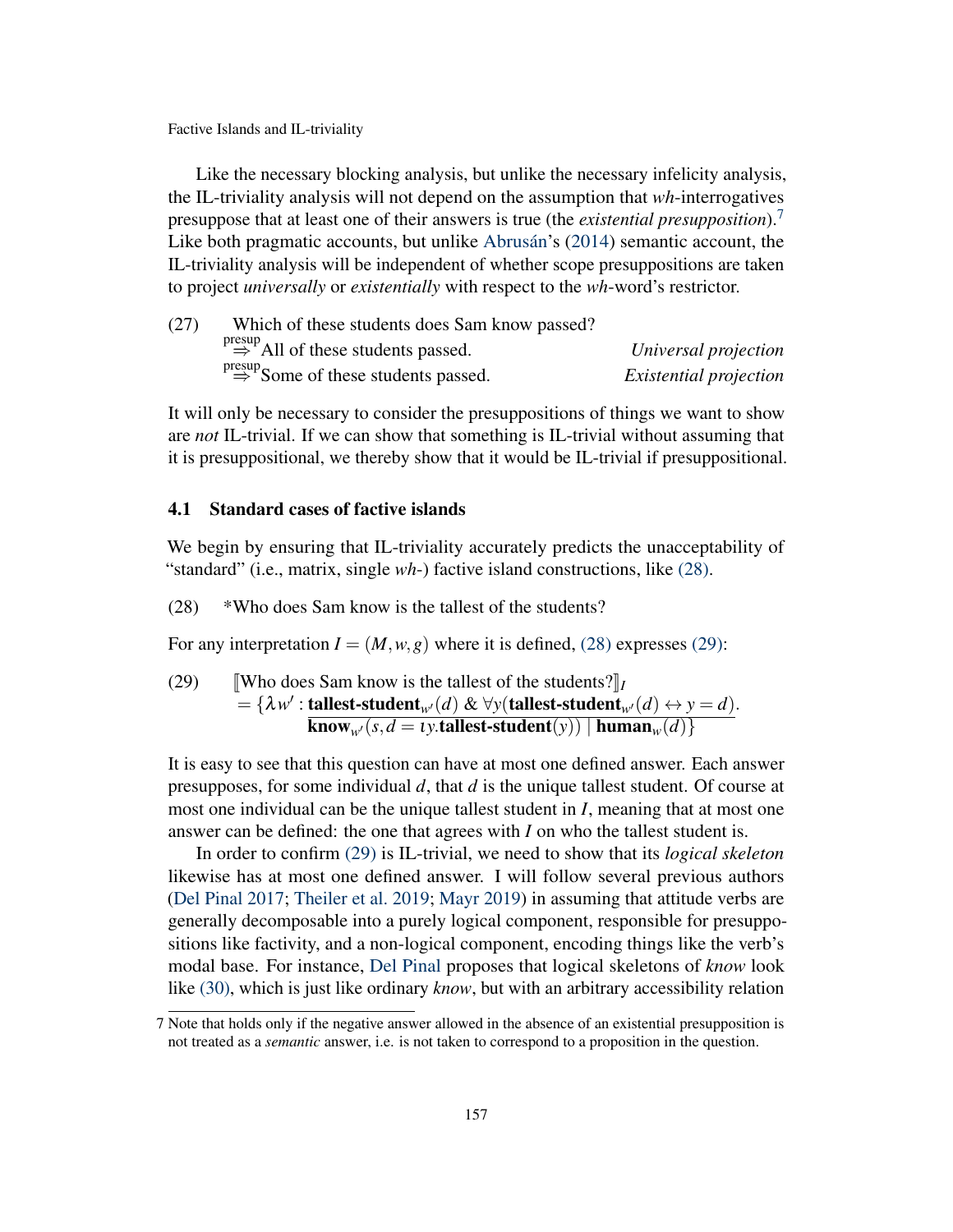Like the necessary blocking analysis, but unlike the necessary infelicity analysis, the IL-triviality analysis will not depend on the assumption that *wh*-interrogatives presuppose that at least one of their answers is true (the *existential presupposition*).[7](#page-0-2) Like both pragmatic accounts, but unlike [Abrusán'](#page-18-3)s [\(2014\)](#page-18-3) semantic account, the IL-triviality analysis will be independent of whether scope presuppositions are taken to project *universally* or *existentially* with respect to the *wh*-word's restrictor.

| (27) | Which of these students does Sam know passed?               |                               |
|------|-------------------------------------------------------------|-------------------------------|
|      | $\Rightarrow^{\text{presup}}$ All of these students passed. | Universal projection          |
|      | $\Rightarrow$ Some of these students passed.                | <i>Existential projection</i> |

It will only be necessary to consider the presuppositions of things we want to show are *not* IL-trivial. If we can show that something is IL-trivial without assuming that it is presuppositional, we thereby show that it would be IL-trivial if presuppositional.

## <span id="page-11-0"></span>4.1 Standard cases of factive islands

We begin by ensuring that IL-triviality accurately predicts the unacceptability of "standard" (i.e., matrix, single *wh*-) factive island constructions, like [\(28\).](#page-11-1)

<span id="page-11-1"></span>(28) \*Who does Sam know is the tallest of the students?

<span id="page-11-2"></span>For any interpretation  $I = (M, w, g)$  where it is defined, [\(28\)](#page-11-1) expresses [\(29\):](#page-11-2)

(29) [Who does Sam know is the tallest of the students?]  
\n
$$
= {\lambda w' : \text{tallest-student}_{w'}(d) \& \forall y(\text{tallest-student}_{w'}(d) \leftrightarrow y = d). \over \text{know}_{w'}(s, d = \text{t}y.\text{tallest-student}(y)) | \text{human}_{w}(d) }
$$

It is easy to see that this question can have at most one defined answer. Each answer presupposes, for some individual *d*, that *d* is the unique tallest student. Of course at most one individual can be the unique tallest student in *I*, meaning that at most one answer can be defined: the one that agrees with *I* on who the tallest student is.

In order to confirm [\(29\)](#page-11-2) is IL-trivial, we need to show that its *logical skeleton* likewise has at most one defined answer. I will follow several previous authors [\(Del Pinal](#page-18-16) [2017;](#page-18-16) [Theiler et al.](#page-19-9) [2019;](#page-19-9) [Mayr](#page-18-12) [2019\)](#page-18-12) in assuming that attitude verbs are generally decomposable into a purely logical component, responsible for presuppositions like factivity, and a non-logical component, encoding things like the verb's modal base. For instance, [Del Pinal](#page-18-16) proposes that logical skeletons of *know* look like [\(30\),](#page-12-0) which is just like ordinary *know*, but with an arbitrary accessibility relation

<sup>7</sup> Note that holds only if the negative answer allowed in the absence of an existential presupposition is not treated as a *semantic* answer, i.e. is not taken to correspond to a proposition in the question.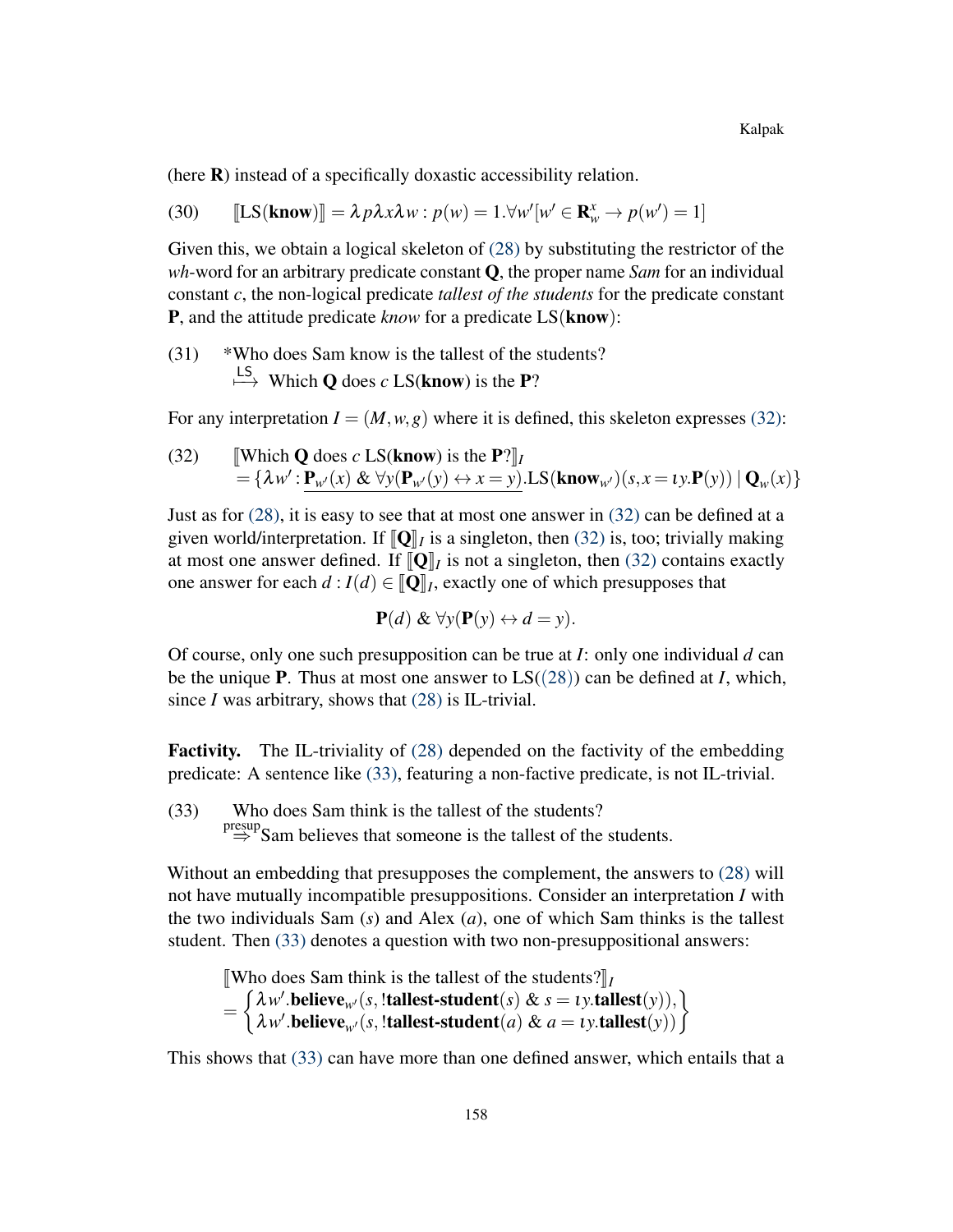(here R) instead of a specifically doxastic accessibility relation.

<span id="page-12-0"></span>(30) 
$$
\llbracket \text{LS}(\text{know}) \rrbracket = \lambda p \lambda x \lambda w : p(w) = 1. \forall w'[w' \in \mathbf{R}_w^x \to p(w') = 1]
$$

Given this, we obtain a logical skeleton of  $(28)$  by substituting the restrictor of the *wh*-word for an arbitrary predicate constant Q, the proper name *Sam* for an individual constant *c*, the non-logical predicate *tallest of the students* for the predicate constant P, and the attitude predicate *know* for a predicate LS(know):

(31) \*Who does Sam know is the tallest of the students?  $\stackrel{\text{LS}}{\longmapsto}$  Which **Q** does *c* LS(**know**) is the **P**?

<span id="page-12-1"></span>For any interpretation  $I = (M, w, g)$  where it is defined, this skeleton expresses [\(32\):](#page-12-1)

(32) **Which Q does** *c* **LS(know) is the P?** $\vert I \vert$  $= {\lambda w' : \mathbf{P}_{w'}(x) \& \forall y (\mathbf{P}_{w'}(y) \leftrightarrow x = y) . \text{LS}(\text{know}_{w'})(s, x = \iota y. \mathbf{P}(y)) | \mathbf{Q}_w(x) }$ 

Just as for [\(28\),](#page-11-1) it is easy to see that at most one answer in [\(32\)](#page-12-1) can be defined at a given world/interpretation. If  $[\![\mathbf{Q}]\!]_I$  is a singleton, then [\(32\)](#page-12-1) is, too; trivially making<br>at most one answer defined. If  $[\![\mathbf{Q}]\!]_I$  is not a singleton, then (32) contains exactly at most one answer defined. If  $[\![\mathbf{Q}]\!]_I$  is not a singleton, then [\(32\)](#page-12-1) contains exactly<br>one answer for each  $d: I(d) \subset [\![\mathbf{Q}]\!]_I$  exactly one of which presupposes that one answer for each  $d: I(d) \in [\![\mathbf{Q}]\!]_I$ , exactly one of which presupposes that

$$
\mathbf{P}(d) \& \forall y (\mathbf{P}(y) \leftrightarrow d = y).
$$

Of course, only one such presupposition can be true at *I*: only one individual *d* can be the unique **P**. Thus at most one answer to  $LS((28))$  $LS((28))$  $LS((28))$  can be defined at *I*, which, since  $I$  was arbitrary, shows that  $(28)$  is IL-trivial.

Factivity. The IL-triviality of [\(28\)](#page-11-1) depended on the factivity of the embedding predicate: A sentence like [\(33\),](#page-12-2) featuring a non-factive predicate, is not IL-trivial.

<span id="page-12-2"></span>(33) Who does Sam think is the tallest of the students?  $\Rightarrow^{\text{presup}}$ Sam believes that someone is the tallest of the students.

Without an embedding that presupposes the complement, the answers to [\(28\)](#page-11-1) will not have mutually incompatible presuppositions. Consider an interpretation *I* with the two individuals Sam (*s*) and Alex (*a*), one of which Sam thinks is the tallest student. Then [\(33\)](#page-12-2) denotes a question with two non-presuppositional answers:

*[Who does Sam think is the tallest of the students?]I* 

$$
= \begin{cases} \lambda w'.\text{believe}_{w'}(s,\text{!tallest-student}(s) \& s = \text{t}y.\text{tallest}(y)),\\ \lambda w'.\text{believe}_{w'}(s,\text{!tallest-student}(a) \& a = \text{t}y.\text{tallest}(y)) \end{cases}
$$

This shows that [\(33\)](#page-12-2) can have more than one defined answer, which entails that a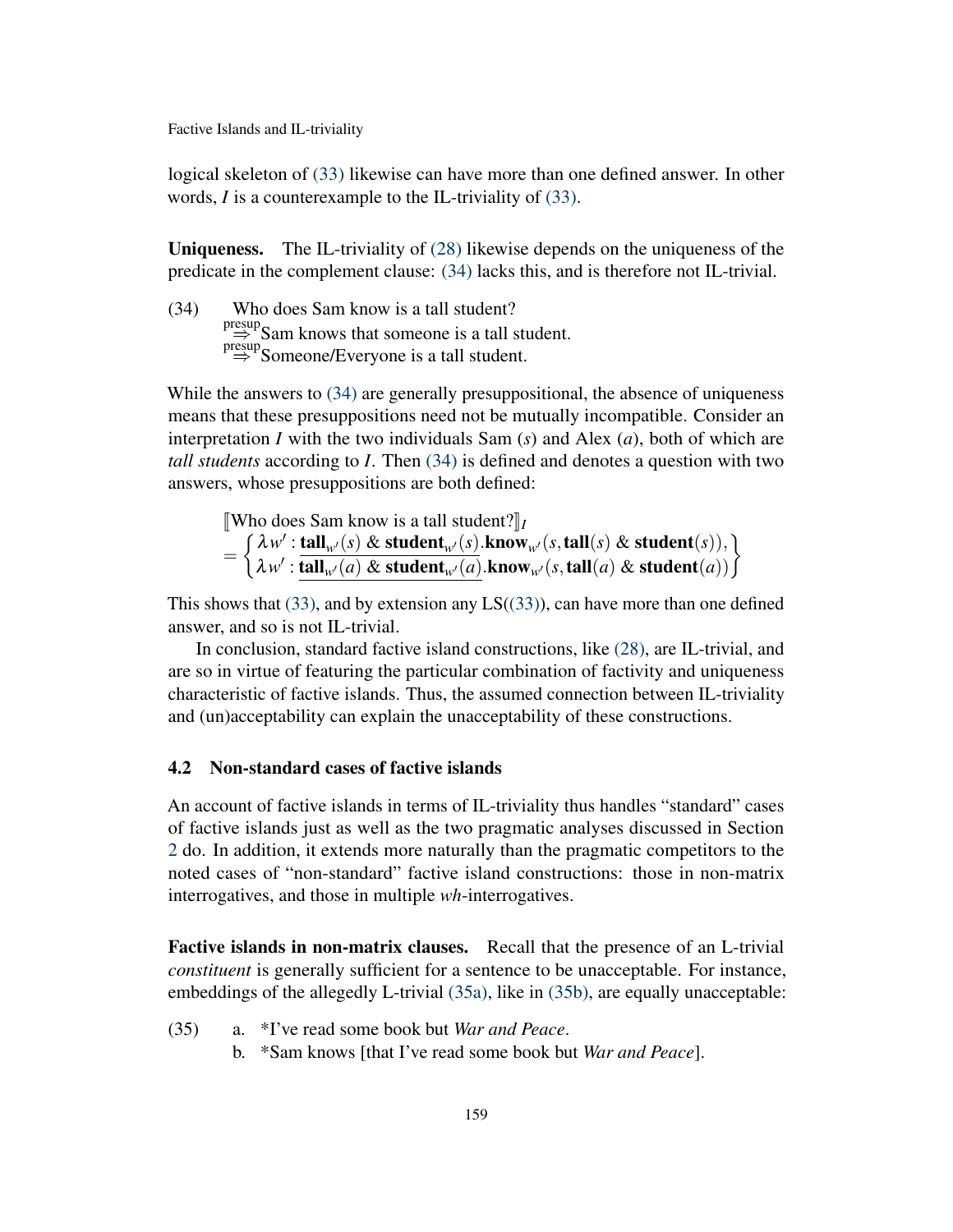logical skeleton of [\(33\)](#page-12-2) likewise can have more than one defined answer. In other words, *I* is a counterexample to the IL-triviality of [\(33\).](#page-12-2)

Uniqueness. The IL-triviality of [\(28\)](#page-11-1) likewise depends on the uniqueness of the predicate in the complement clause: [\(34\)](#page-13-1) lacks this, and is therefore not IL-trivial.

<span id="page-13-1"></span>(34) Who does Sam know is a tall student? presup<br>  $\Rightarrow$  Sam knows that someone is a tall student.<br>  $\Rightarrow$  Someone/Everyone is a tall student.

While the answers to  $(34)$  are generally presuppositional, the absence of uniqueness means that these presuppositions need not be mutually incompatible. Consider an interpretation *I* with the two individuals Sam (*s*) and Alex (*a*), both of which are *tall students* according to *I*. Then [\(34\)](#page-13-1) is defined and denotes a question with two answers, whose presuppositions are both defined:

*<u>IWho does</u> Sam know is a tall student?* $\iint_I$ =  $\int \lambda w'$ : tall<sub>w</sub> $(s)$  & student<sub>w</sub> $(s)$ .know<sub>w</sub> $(s, \text{tall}(s)$  & student $(s)$ ),  $\lambda w'$  : tall<sub>w</sub>(*s*) & student<sub>w</sub>(*s*).know<sub>w</sub>(*s*,tall(*s*) & student(*s*)),  $\lambda w'$  : tall<sub>w</sub>(*a*) & student<sub>w</sub>(*a*).know<sub>w</sub>(*s*,tall(*a*) & student(*a*))  $\int$ 

This shows that  $(33)$ , and by extension any  $LS((33))$  $LS((33))$ , can have more than one defined answer, and so is not IL-trivial.

In conclusion, standard factive island constructions, like [\(28\),](#page-11-1) are IL-trivial, and are so in virtue of featuring the particular combination of factivity and uniqueness characteristic of factive islands. Thus, the assumed connection between IL-triviality and (un)acceptability can explain the unacceptability of these constructions.

## <span id="page-13-0"></span>4.2 Non-standard cases of factive islands

An account of factive islands in terms of IL-triviality thus handles "standard" cases of factive islands just as well as the two pragmatic analyses discussed in Section [2](#page-2-0) do. In addition, it extends more naturally than the pragmatic competitors to the noted cases of "non-standard" factive island constructions: those in non-matrix interrogatives, and those in multiple *wh*-interrogatives.

Factive islands in non-matrix clauses. Recall that the presence of an L-trivial *constituent* is generally sufficient for a sentence to be unacceptable. For instance, embeddings of the allegedly L-trivial [\(35a\),](#page-13-2) like in [\(35b\),](#page-13-3) are equally unacceptable:

- <span id="page-13-3"></span><span id="page-13-2"></span>(35) a. \*I've read some book but *War and Peace*.
	- b. \*Sam knows [that I've read some book but *War and Peace*].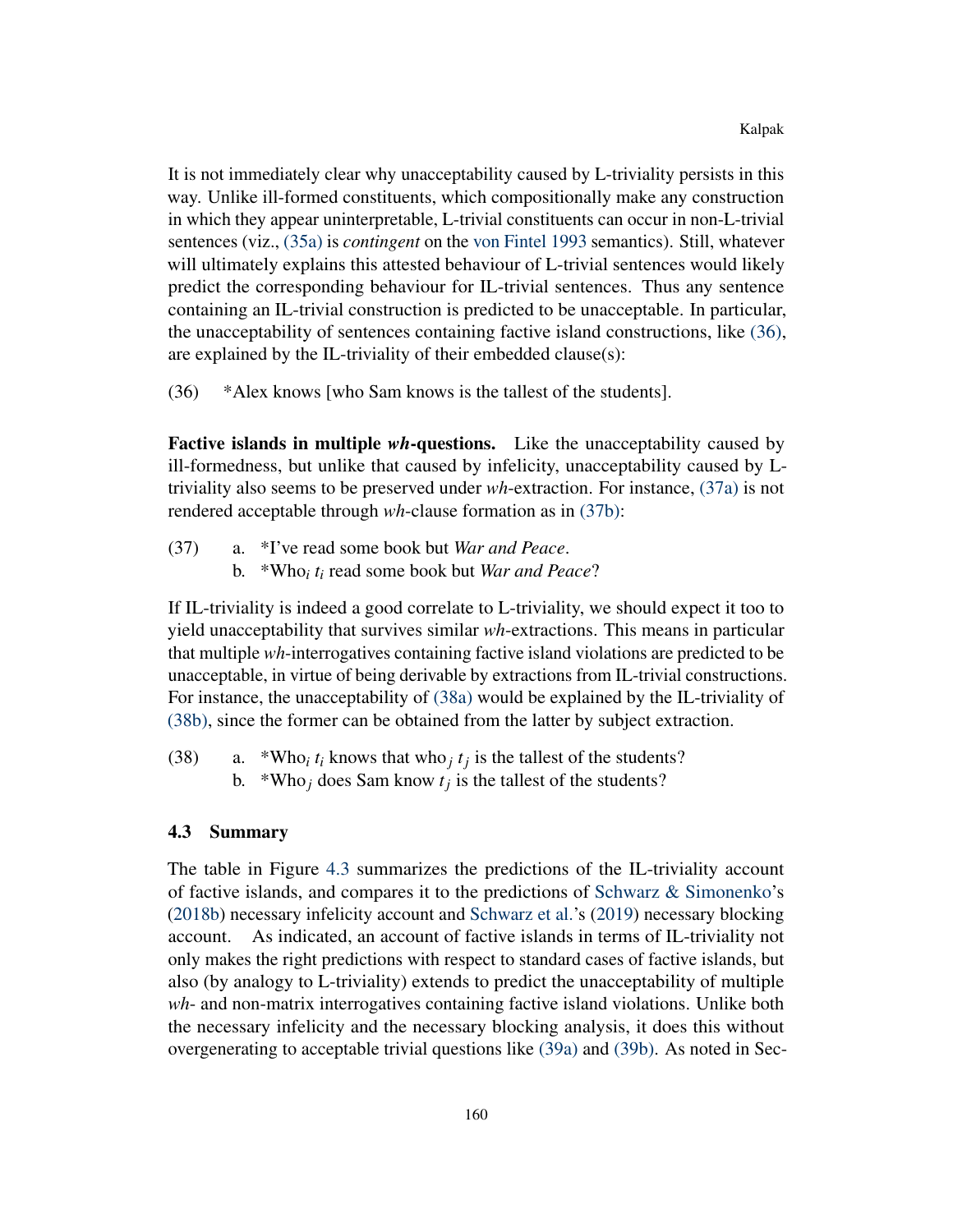It is not immediately clear why unacceptability caused by L-triviality persists in this way. Unlike ill-formed constituents, which compositionally make any construction in which they appear uninterpretable, L-trivial constituents can occur in non-L-trivial sentences (viz., [\(35a\)](#page-13-2) is *contingent* on the [von Fintel](#page-18-9) [1993](#page-18-9) semantics). Still, whatever will ultimately explains this attested behaviour of L-trivial sentences would likely predict the corresponding behaviour for IL-trivial sentences. Thus any sentence containing an IL-trivial construction is predicted to be unacceptable. In particular, the unacceptability of sentences containing factive island constructions, like [\(36\),](#page-14-1) are explained by the IL-triviality of their embedded clause(s):

<span id="page-14-1"></span>(36) \*Alex knows [who Sam knows is the tallest of the students].

Factive islands in multiple *wh*-questions. Like the unacceptability caused by ill-formedness, but unlike that caused by infelicity, unacceptability caused by Ltriviality also seems to be preserved under *wh*-extraction. For instance, [\(37a\)](#page-14-2) is not rendered acceptable through *wh*-clause formation as in [\(37b\):](#page-14-3)

- <span id="page-14-3"></span><span id="page-14-2"></span>(37) a. \*I've read some book but *War and Peace*.
	- b. \*Who*<sup>i</sup> t<sup>i</sup>* read some book but *War and Peace*?

If IL-triviality is indeed a good correlate to L-triviality, we should expect it too to yield unacceptability that survives similar *wh*-extractions. This means in particular that multiple *wh*-interrogatives containing factive island violations are predicted to be unacceptable, in virtue of being derivable by extractions from IL-trivial constructions. For instance, the unacceptability of [\(38a\)](#page-14-4) would be explained by the IL-triviality of [\(38b\),](#page-14-5) since the former can be obtained from the latter by subject extraction.

<span id="page-14-5"></span><span id="page-14-4"></span>(38) a. \*Who<sub>*i*</sub>  $t_i$  knows that who<sub>*j*</sub>  $t_j$  is the tallest of the students? b. \*Who<sub>j</sub> does Sam know  $t_j$  is the tallest of the students?

#### <span id="page-14-0"></span>4.3 Summary

The table in Figure [4.3](#page-14-0) summarizes the predictions of the IL-triviality account of factive islands, and compares it to the predictions of [Schwarz & Simonenko'](#page-19-0)s [\(2018b\)](#page-19-0) necessary infelicity account and [Schwarz et al.'](#page-19-1)s [\(2019\)](#page-19-1) necessary blocking account. As indicated, an account of factive islands in terms of IL-triviality not only makes the right predictions with respect to standard cases of factive islands, but also (by analogy to L-triviality) extends to predict the unacceptability of multiple *wh*- and non-matrix interrogatives containing factive island violations. Unlike both the necessary infelicity and the necessary blocking analysis, it does this without overgenerating to acceptable trivial questions like [\(39a\)](#page-15-0) and [\(39b\).](#page-15-1) As noted in Sec-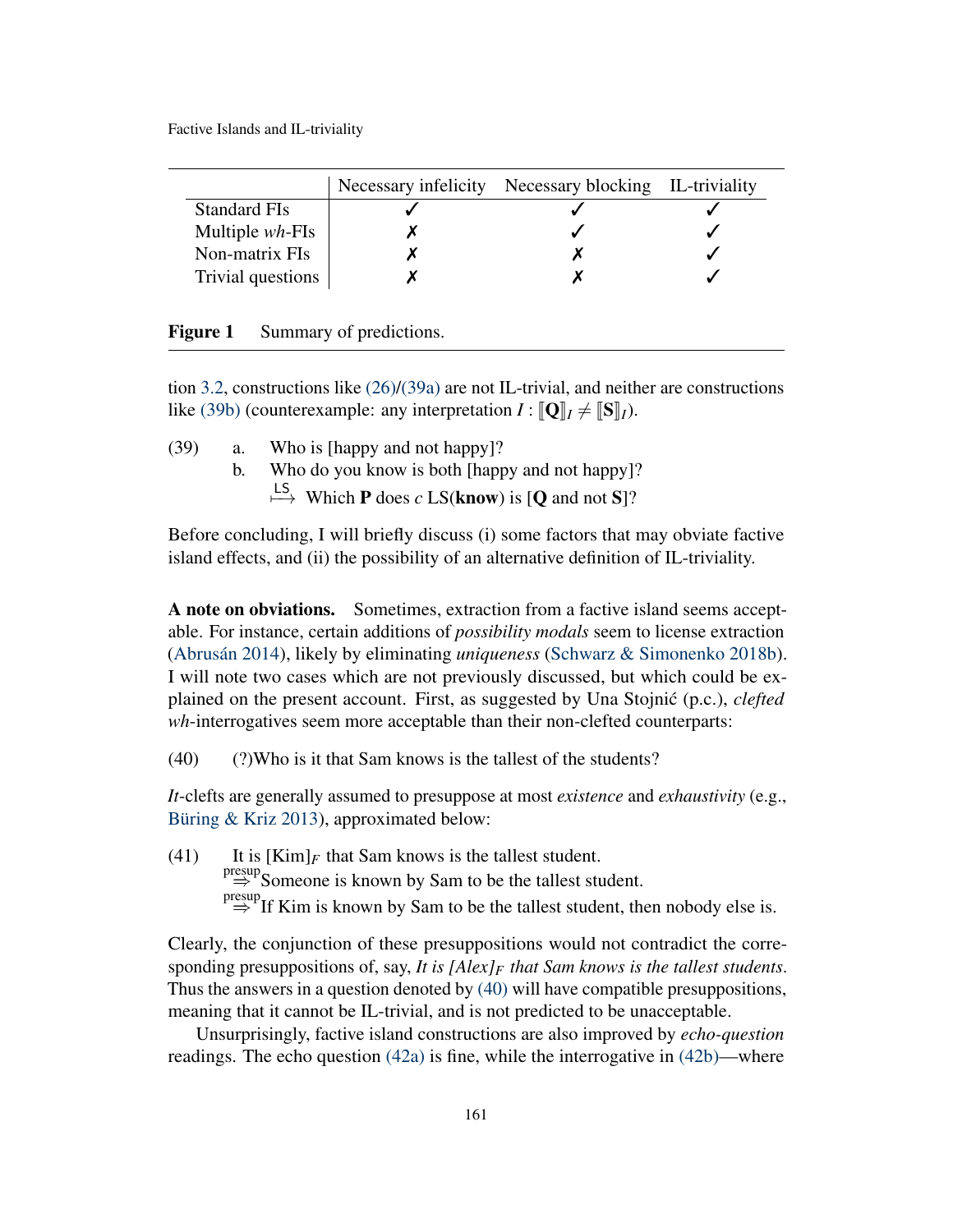|                     | Necessary infelicity Necessary blocking IL-triviality |  |
|---------------------|-------------------------------------------------------|--|
| <b>Standard FIs</b> |                                                       |  |
| Multiple $wh$ -FIs  |                                                       |  |
| Non-matrix FIs      |                                                       |  |
| Trivial questions   |                                                       |  |

| <b>Figure 1</b> |  |  | Summary of predictions. |
|-----------------|--|--|-------------------------|
|-----------------|--|--|-------------------------|

tion [3.2,](#page-9-0) constructions like [\(26\)/](#page-10-1)[\(39a\)](#page-15-0) are not IL-trivial, and neither are constructions like [\(39b\)](#page-15-1) (counterexample: any interpretation  $I : [\mathbf{Q}]_I \neq [\mathbf{S}]_I$ ).

<span id="page-15-1"></span><span id="page-15-0"></span>(39) a. Who is [happy and not happy]? b. Who do you know is both [happy and not happy]?  $\stackrel{\text{LS}}{\longmapsto}$  Which **P** does *c* LS(**know**) is [**Q** and not S]?

Before concluding, I will briefly discuss (i) some factors that may obviate factive island effects, and (ii) the possibility of an alternative definition of IL-triviality.

A note on obviations. Sometimes, extraction from a factive island seems acceptable. For instance, certain additions of *possibility modals* seem to license extraction [\(Abrusán](#page-18-3) [2014\)](#page-18-3), likely by eliminating *uniqueness* [\(Schwarz & Simonenko](#page-19-0) [2018b\)](#page-19-0). I will note two cases which are not previously discussed, but which could be explained on the present account. First, as suggested by Una Stojnić (p.c.), *clefted wh*-interrogatives seem more acceptable than their non-clefted counterparts:

<span id="page-15-2"></span> $(40)$  (?)Who is it that Sam knows is the tallest of the students?

*It*-clefts are generally assumed to presuppose at most *existence* and *exhaustivity* (e.g., [Büring & Kriz](#page-18-17) [2013\)](#page-18-17), approximated below:

(41) It is  $[Kim]_F$  that Sam knows is the tallest student.  $\Rightarrow$  Someone is known by Sam to be the tallest student.  $\Rightarrow$  If Kim is known by Sam to be the tallest student, then nobody else is.

Clearly, the conjunction of these presuppositions would not contradict the corresponding presuppositions of, say, *It is [Alex]<sup>F</sup> that Sam knows is the tallest students*. Thus the answers in a question denoted by [\(40\)](#page-15-2) will have compatible presuppositions, meaning that it cannot be IL-trivial, and is not predicted to be unacceptable.

Unsurprisingly, factive island constructions are also improved by *echo-question* readings. The echo question [\(42a\)](#page-16-0) is fine, while the interrogative in [\(42b\)—](#page-16-1)where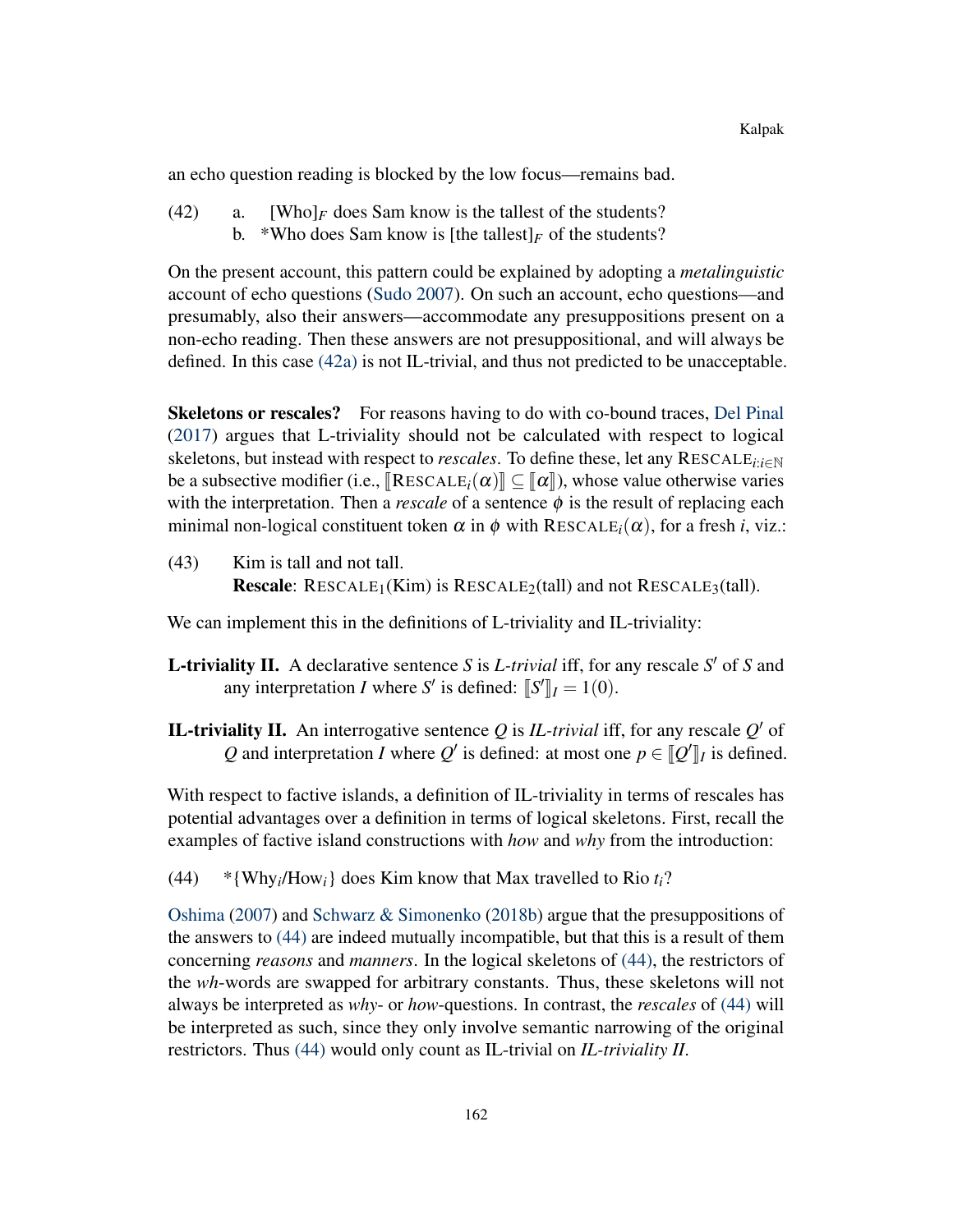an echo question reading is blocked by the low focus—remains bad.

<span id="page-16-1"></span><span id="page-16-0"></span> $(42)$  a. [Who]<sub>F</sub> does Sam know is the tallest of the students? b. \*Who does Sam know is [the tallest]<sub>*F*</sub> of the students?

On the present account, this pattern could be explained by adopting a *metalinguistic* account of echo questions [\(Sudo](#page-19-10) [2007\)](#page-19-10). On such an account, echo questions—and presumably, also their answers—accommodate any presuppositions present on a non-echo reading. Then these answers are not presuppositional, and will always be defined. In this case [\(42a\)](#page-16-0) is not IL-trivial, and thus not predicted to be unacceptable.

Skeletons or rescales? For reasons having to do with co-bound traces, [Del Pinal](#page-18-16) [\(2017\)](#page-18-16) argues that L-triviality should not be calculated with respect to logical skeletons, but instead with respect to *rescales*. To define these, let any RESCALE*i*:*i*∈<sup>N</sup> be a subsective modifier (i.e.,  $\left[\text{RESCALE}_i(\alpha)\right] \subseteq \left[\alpha\right]$ ), whose value otherwise varies with the interpretation. Then a *rescale* of a sentence  $\phi$  is the result of replacing each minimal non-logical constituent token  $\alpha$  in  $\phi$  with RESCALE<sub>*i*</sub>( $\alpha$ ), for a fresh *i*, viz.:

(43) Kim is tall and not tall. **Rescale:** RESCALE<sub>1</sub>(Kim) is RESCALE<sub>2</sub>(tall) and not RESCALE<sub>3</sub>(tall).

We can implement this in the definitions of L-triviality and IL-triviality:

- **L**-triviality II. A declarative sentence *S* is *L*-trivial iff, for any rescale  $S'$  of *S* and any interpretation *I* where *S'* is defined:  $\llbracket S' \rrbracket_I = 1(0)$ .
- **IL-triviality II.** An interrogative sentence  $Q$  is *IL-trivial* iff, for any rescale  $Q'$  of *Q* and interpretation *I* where  $Q'$  is defined: at most one  $p \in [Q']_I$  is defined.

With respect to factive islands, a definition of IL-triviality in terms of rescales has potential advantages over a definition in terms of logical skeletons. First, recall the examples of factive island constructions with *how* and *why* from the introduction:

<span id="page-16-2"></span> $(44)$  \*{Why<sub>*i*</sub>/How<sub>*i*</sub>} does Kim know that Max travelled to Rio  $t_i$ ?

[Oshima](#page-19-4) [\(2007\)](#page-19-4) and [Schwarz & Simonenko](#page-19-0) [\(2018b\)](#page-19-0) argue that the presuppositions of the answers to [\(44\)](#page-16-2) are indeed mutually incompatible, but that this is a result of them concerning *reasons* and *manners*. In the logical skeletons of [\(44\),](#page-16-2) the restrictors of the *wh*-words are swapped for arbitrary constants. Thus, these skeletons will not always be interpreted as *why*- or *how*-questions. In contrast, the *rescales* of [\(44\)](#page-16-2) will be interpreted as such, since they only involve semantic narrowing of the original restrictors. Thus [\(44\)](#page-16-2) would only count as IL-trivial on *IL-triviality II*.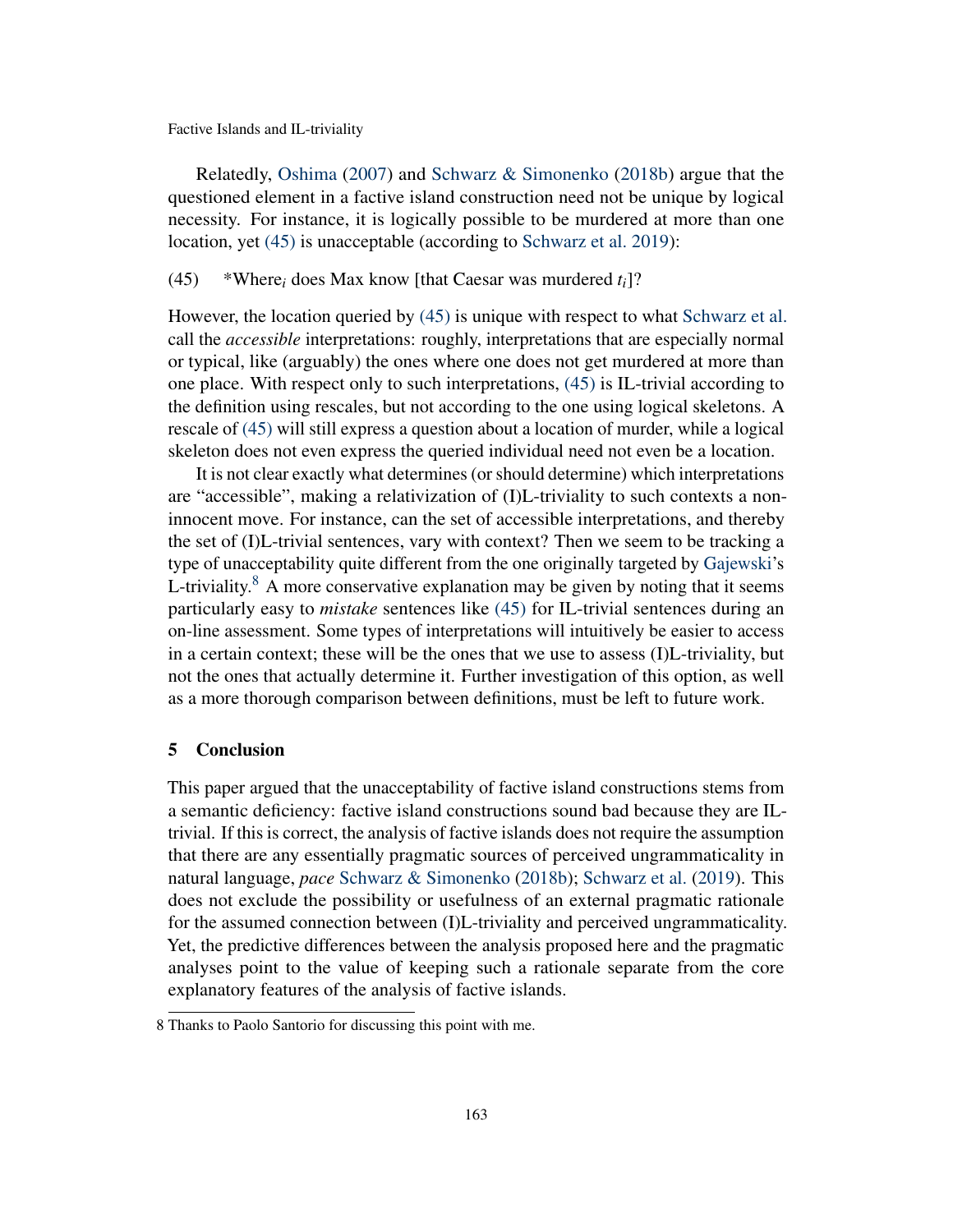Relatedly, [Oshima](#page-19-4) [\(2007\)](#page-19-4) and [Schwarz & Simonenko](#page-19-0) [\(2018b\)](#page-19-0) argue that the questioned element in a factive island construction need not be unique by logical necessity. For instance, it is logically possible to be murdered at more than one location, yet [\(45\)](#page-17-1) is unacceptable (according to [Schwarz et al.](#page-19-1) [2019\)](#page-19-1):

## <span id="page-17-1"></span>(45) \*Where<sub>*i*</sub> does Max know [that Caesar was murdered  $t_i$ ]?

However, the location queried by [\(45\)](#page-17-1) is unique with respect to what [Schwarz et al.](#page-19-1) call the *accessible* interpretations: roughly, interpretations that are especially normal or typical, like (arguably) the ones where one does not get murdered at more than one place. With respect only to such interpretations, [\(45\)](#page-17-1) is IL-trivial according to the definition using rescales, but not according to the one using logical skeletons. A rescale of [\(45\)](#page-17-1) will still express a question about a location of murder, while a logical skeleton does not even express the queried individual need not even be a location.

It is not clear exactly what determines (or should determine) which interpretations are "accessible", making a relativization of (I)L-triviality to such contexts a noninnocent move. For instance, can the set of accessible interpretations, and thereby the set of (I)L-trivial sentences, vary with context? Then we seem to be tracking a type of unacceptability quite different from the one originally targeted by [Gajewski'](#page-18-1)s L-triviality.<sup>[8](#page-0-2)</sup> A more conservative explanation may be given by noting that it seems particularly easy to *mistake* sentences like [\(45\)](#page-17-1) for IL-trivial sentences during an on-line assessment. Some types of interpretations will intuitively be easier to access in a certain context; these will be the ones that we use to assess (I)L-triviality, but not the ones that actually determine it. Further investigation of this option, as well as a more thorough comparison between definitions, must be left to future work.

## <span id="page-17-0"></span>5 Conclusion

This paper argued that the unacceptability of factive island constructions stems from a semantic deficiency: factive island constructions sound bad because they are ILtrivial. If this is correct, the analysis of factive islands does not require the assumption that there are any essentially pragmatic sources of perceived ungrammaticality in natural language, *pace* [Schwarz & Simonenko](#page-19-0) [\(2018b\)](#page-19-0); [Schwarz et al.](#page-19-1) [\(2019\)](#page-19-1). This does not exclude the possibility or usefulness of an external pragmatic rationale for the assumed connection between (I)L-triviality and perceived ungrammaticality. Yet, the predictive differences between the analysis proposed here and the pragmatic analyses point to the value of keeping such a rationale separate from the core explanatory features of the analysis of factive islands.

<sup>8</sup> Thanks to Paolo Santorio for discussing this point with me.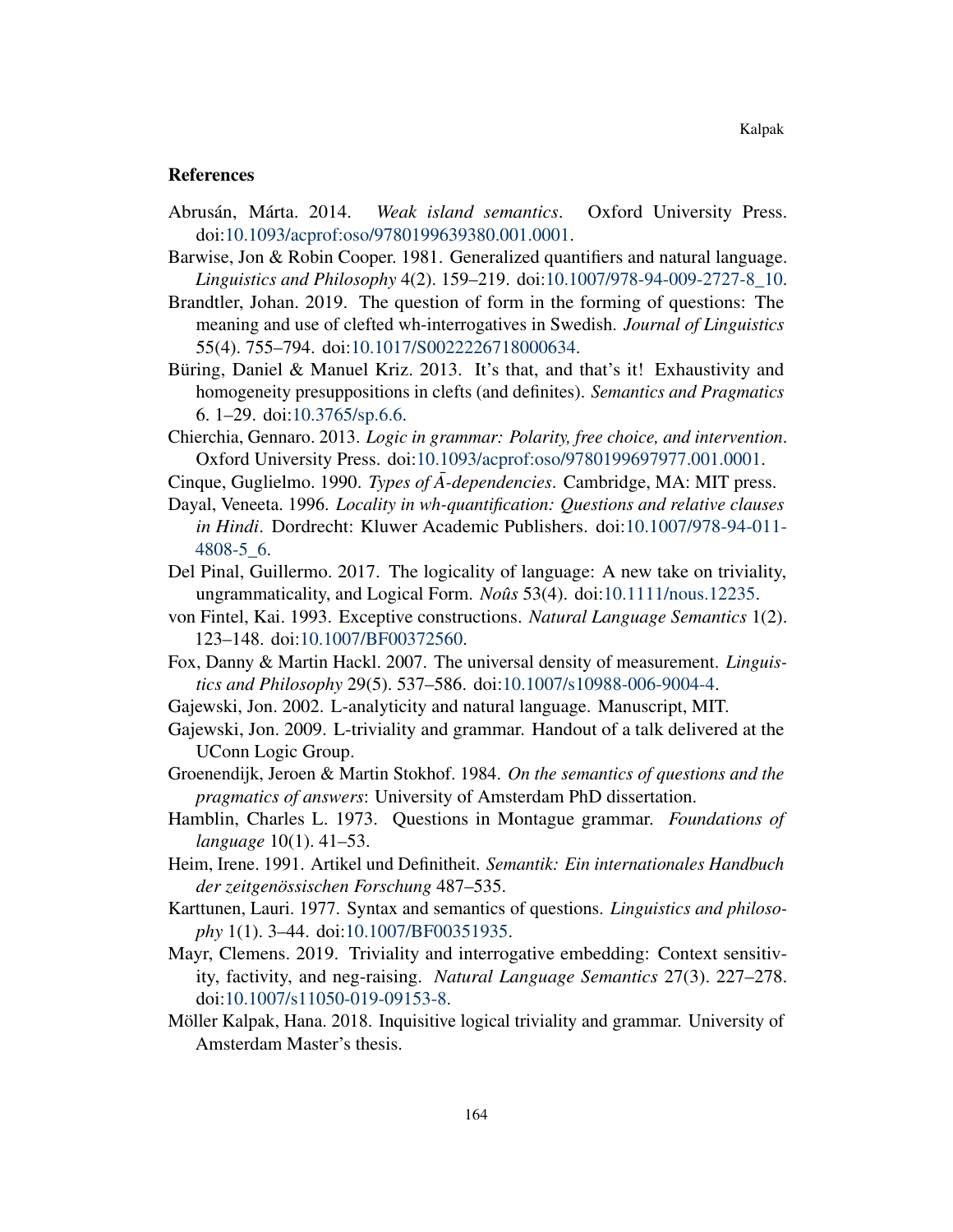## References

- <span id="page-18-3"></span>Abrusán, Márta. 2014. *Weak island semantics*. Oxford University Press. doi[:10.1093/acprof:oso/9780199639380.001.0001.](http://dx.doi.org/10.1093/acprof:oso/9780199639380.001.0001)
- <span id="page-18-8"></span>Barwise, Jon & Robin Cooper. 1981. Generalized quantifiers and natural language. *Linguistics and Philosophy* 4(2). 159–219. doi[:10.1007/978-94-009-2727-8\\_10.](http://dx.doi.org/10.1007/978-94-009-2727-8_10)
- <span id="page-18-2"></span>Brandtler, Johan. 2019. The question of form in the forming of questions: The meaning and use of clefted wh-interrogatives in Swedish. *Journal of Linguistics* 55(4). 755–794. doi[:10.1017/S0022226718000634.](http://dx.doi.org/10.1017/S0022226718000634)
- <span id="page-18-17"></span>Büring, Daniel & Manuel Kriz. 2013. It's that, and that's it! Exhaustivity and homogeneity presuppositions in clefts (and definites). *Semantics and Pragmatics* 6. 1–29. doi[:10.3765/sp.6.6.](http://dx.doi.org/10.3765/sp.6.6)
- <span id="page-18-10"></span>Chierchia, Gennaro. 2013. *Logic in grammar: Polarity, free choice, and intervention*. Oxford University Press. doi[:10.1093/acprof:oso/9780199697977.001.0001.](http://dx.doi.org/10.1093/acprof:oso/9780199697977.001.0001)
- <span id="page-18-6"></span><span id="page-18-0"></span>Cinque, Guglielmo. 1990. *Types of*  $\overline{A}$ *-dependencies*. Cambridge, MA: MIT press.
- Dayal, Veneeta. 1996. *Locality in wh-quantification: Questions and relative clauses in Hindi*. Dordrecht: Kluwer Academic Publishers. doi[:10.1007/978-94-011-](http://dx.doi.org/10.1007/978-94-011-4808-5_6) [4808-5\\_6.](http://dx.doi.org/10.1007/978-94-011-4808-5_6)
- <span id="page-18-16"></span>Del Pinal, Guillermo. 2017. The logicality of language: A new take on triviality, ungrammaticality, and Logical Form. *Noûs* 53(4). doi[:10.1111/nous.12235.](http://dx.doi.org/10.1111/nous.12235)
- <span id="page-18-9"></span>von Fintel, Kai. 1993. Exceptive constructions. *Natural Language Semantics* 1(2). 123–148. doi[:10.1007/BF00372560.](http://dx.doi.org/10.1007/BF00372560)
- <span id="page-18-11"></span>Fox, Danny & Martin Hackl. 2007. The universal density of measurement. *Linguistics and Philosophy* 29(5). 537–586. doi[:10.1007/s10988-006-9004-4.](http://dx.doi.org/10.1007/s10988-006-9004-4)
- <span id="page-18-1"></span>Gajewski, Jon. 2002. L-analyticity and natural language. Manuscript, MIT.
- <span id="page-18-4"></span>Gajewski, Jon. 2009. L-triviality and grammar. Handout of a talk delivered at the UConn Logic Group.
- <span id="page-18-14"></span>Groenendijk, Jeroen & Martin Stokhof. 1984. *On the semantics of questions and the pragmatics of answers*: University of Amsterdam PhD dissertation.
- <span id="page-18-5"></span>Hamblin, Charles L. 1973. Questions in Montague grammar. *Foundations of language* 10(1). 41–53.
- <span id="page-18-7"></span>Heim, Irene. 1991. Artikel und Definitheit. *Semantik: Ein internationales Handbuch der zeitgenössischen Forschung* 487–535.
- <span id="page-18-13"></span>Karttunen, Lauri. 1977. Syntax and semantics of questions. *Linguistics and philosophy* 1(1). 3–44. doi[:10.1007/BF00351935.](http://dx.doi.org/10.1007/BF00351935)
- <span id="page-18-12"></span>Mayr, Clemens. 2019. Triviality and interrogative embedding: Context sensitivity, factivity, and neg-raising. *Natural Language Semantics* 27(3). 227–278. doi[:10.1007/s11050-019-09153-8.](http://dx.doi.org/10.1007/s11050-019-09153-8)
- <span id="page-18-15"></span>Möller Kalpak, Hana. 2018. Inquisitive logical triviality and grammar. University of Amsterdam Master's thesis.